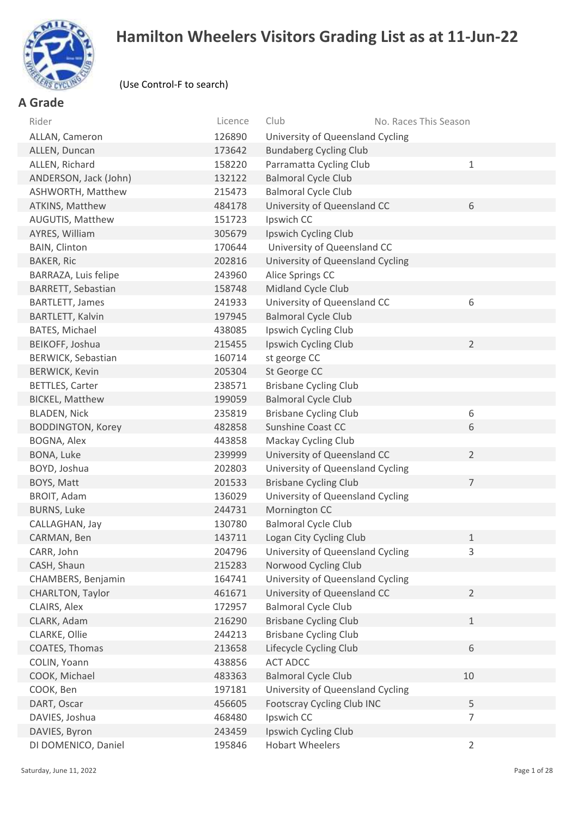

# **Hamilton Wheelers Visitors Grading List as at 11-Jun-22**

#### (Use Control-F to search)

## **A Grade**

| Rider                    | Licence | Club<br>No. Races This Season     |                |
|--------------------------|---------|-----------------------------------|----------------|
| ALLAN, Cameron           | 126890  | University of Queensland Cycling  |                |
| ALLEN, Duncan            | 173642  | <b>Bundaberg Cycling Club</b>     |                |
| ALLEN, Richard           | 158220  | Parramatta Cycling Club           | $1\,$          |
| ANDERSON, Jack (John)    | 132122  | <b>Balmoral Cycle Club</b>        |                |
| ASHWORTH, Matthew        | 215473  | <b>Balmoral Cycle Club</b>        |                |
| ATKINS, Matthew          | 484178  | University of Queensland CC       | 6              |
| AUGUTIS, Matthew         | 151723  | Ipswich CC                        |                |
| AYRES, William           | 305679  | Ipswich Cycling Club              |                |
| BAIN, Clinton            | 170644  | University of Queensland CC       |                |
| <b>BAKER, Ric</b>        | 202816  | University of Queensland Cycling  |                |
| BARRAZA, Luis felipe     | 243960  | Alice Springs CC                  |                |
| BARRETT, Sebastian       | 158748  | Midland Cycle Club                |                |
| <b>BARTLETT, James</b>   | 241933  | University of Queensland CC       | 6              |
| BARTLETT, Kalvin         | 197945  | <b>Balmoral Cycle Club</b>        |                |
| BATES, Michael           | 438085  | Ipswich Cycling Club              |                |
| BEIKOFF, Joshua          | 215455  | Ipswich Cycling Club              | $\overline{2}$ |
| BERWICK, Sebastian       | 160714  | st george CC                      |                |
| <b>BERWICK, Kevin</b>    | 205304  | St George CC                      |                |
| <b>BETTLES, Carter</b>   | 238571  | <b>Brisbane Cycling Club</b>      |                |
| <b>BICKEL, Matthew</b>   | 199059  | <b>Balmoral Cycle Club</b>        |                |
| <b>BLADEN, Nick</b>      | 235819  | <b>Brisbane Cycling Club</b>      | 6              |
| <b>BODDINGTON, Korey</b> | 482858  | Sunshine Coast CC                 | 6              |
| BOGNA, Alex              | 443858  | Mackay Cycling Club               |                |
| BONA, Luke               | 239999  | University of Queensland CC       | $\overline{2}$ |
| BOYD, Joshua             | 202803  | University of Queensland Cycling  |                |
| BOYS, Matt               | 201533  | <b>Brisbane Cycling Club</b>      | $\overline{7}$ |
| BROIT, Adam              | 136029  | University of Queensland Cycling  |                |
| <b>BURNS, Luke</b>       | 244731  | Mornington CC                     |                |
| CALLAGHAN, Jay           | 130780  | <b>Balmoral Cycle Club</b>        |                |
| CARMAN, Ben              | 143711  | Logan City Cycling Club           | $1\,$          |
| CARR, John               | 204796  | University of Queensland Cycling  | 3              |
| CASH, Shaun              | 215283  | Norwood Cycling Club              |                |
| CHAMBERS, Benjamin       | 164741  | University of Queensland Cycling  |                |
| CHARLTON, Taylor         | 461671  | University of Queensland CC       | $\overline{2}$ |
| CLAIRS, Alex             | 172957  | <b>Balmoral Cycle Club</b>        |                |
| CLARK, Adam              | 216290  | <b>Brisbane Cycling Club</b>      | $1\,$          |
| CLARKE, Ollie            | 244213  | <b>Brisbane Cycling Club</b>      |                |
| COATES, Thomas           | 213658  | Lifecycle Cycling Club            | 6              |
| COLIN, Yoann             | 438856  | <b>ACT ADCC</b>                   |                |
| COOK, Michael            | 483363  | <b>Balmoral Cycle Club</b>        | 10             |
| COOK, Ben                | 197181  | University of Queensland Cycling  |                |
| DART, Oscar              | 456605  | <b>Footscray Cycling Club INC</b> | 5              |
| DAVIES, Joshua           | 468480  | Ipswich CC                        | $\overline{7}$ |
| DAVIES, Byron            | 243459  | Ipswich Cycling Club              |                |
| DI DOMENICO, Daniel      | 195846  | <b>Hobart Wheelers</b>            | $\overline{2}$ |
|                          |         |                                   |                |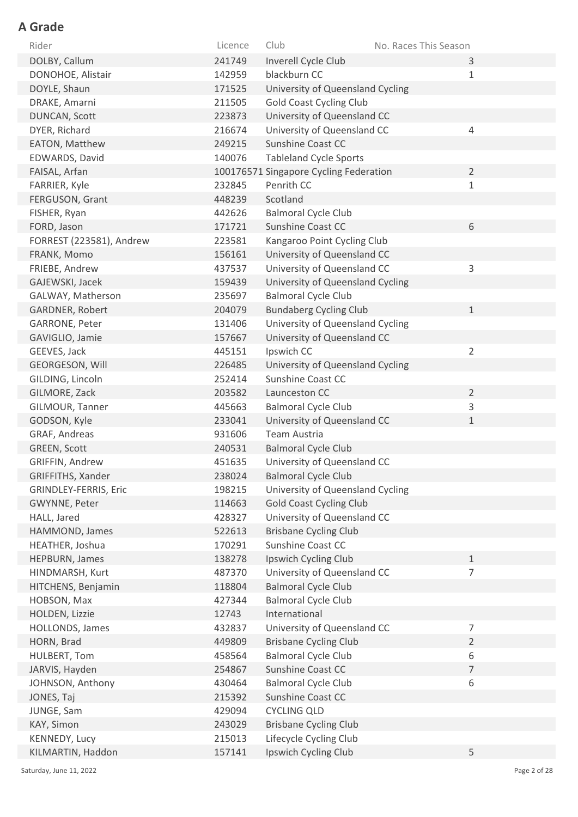| Rider                    | Licence | Club                                   | No. Races This Season |                |
|--------------------------|---------|----------------------------------------|-----------------------|----------------|
| DOLBY, Callum            | 241749  | Inverell Cycle Club                    |                       | 3              |
| DONOHOE, Alistair        | 142959  | blackburn CC                           |                       | $1\,$          |
| DOYLE, Shaun             | 171525  | University of Queensland Cycling       |                       |                |
| DRAKE, Amarni            | 211505  | <b>Gold Coast Cycling Club</b>         |                       |                |
| DUNCAN, Scott            | 223873  | University of Queensland CC            |                       |                |
| DYER, Richard            | 216674  | University of Queensland CC            |                       | 4              |
| EATON, Matthew           | 249215  | Sunshine Coast CC                      |                       |                |
| EDWARDS, David           | 140076  | <b>Tableland Cycle Sports</b>          |                       |                |
| FAISAL, Arfan            |         | 100176571 Singapore Cycling Federation |                       | $\overline{2}$ |
| FARRIER, Kyle            | 232845  | Penrith CC                             |                       | $1\,$          |
| FERGUSON, Grant          | 448239  | Scotland                               |                       |                |
| FISHER, Ryan             | 442626  | <b>Balmoral Cycle Club</b>             |                       |                |
| FORD, Jason              | 171721  | Sunshine Coast CC                      |                       | 6              |
| FORREST (223581), Andrew | 223581  | Kangaroo Point Cycling Club            |                       |                |
| FRANK, Momo              | 156161  | University of Queensland CC            |                       |                |
| FRIEBE, Andrew           | 437537  | University of Queensland CC            |                       | 3              |
| GAJEWSKI, Jacek          | 159439  | University of Queensland Cycling       |                       |                |
| GALWAY, Matherson        | 235697  | <b>Balmoral Cycle Club</b>             |                       |                |
| <b>GARDNER, Robert</b>   | 204079  | <b>Bundaberg Cycling Club</b>          |                       | $\mathbf{1}$   |
| GARRONE, Peter           | 131406  | University of Queensland Cycling       |                       |                |
| GAVIGLIO, Jamie          | 157667  | University of Queensland CC            |                       |                |
| GEEVES, Jack             | 445151  | Ipswich CC                             |                       | $\overline{2}$ |
| <b>GEORGESON, Will</b>   | 226485  | University of Queensland Cycling       |                       |                |
| GILDING, Lincoln         | 252414  | <b>Sunshine Coast CC</b>               |                       |                |
| GILMORE, Zack            | 203582  | Launceston CC                          |                       | $\overline{2}$ |
| GILMOUR, Tanner          | 445663  | <b>Balmoral Cycle Club</b>             |                       | 3              |
| GODSON, Kyle             | 233041  | University of Queensland CC            |                       | $1\,$          |
| GRAF, Andreas            | 931606  | <b>Team Austria</b>                    |                       |                |
| GREEN, Scott             | 240531  | <b>Balmoral Cycle Club</b>             |                       |                |
| GRIFFIN, Andrew          | 451635  | University of Queensland CC            |                       |                |
| GRIFFITHS, Xander        | 238024  | <b>Balmoral Cycle Club</b>             |                       |                |
| GRINDLEY-FERRIS, Eric    | 198215  | University of Queensland Cycling       |                       |                |
| GWYNNE, Peter            | 114663  | <b>Gold Coast Cycling Club</b>         |                       |                |
| HALL, Jared              | 428327  | University of Queensland CC            |                       |                |
| HAMMOND, James           | 522613  | <b>Brisbane Cycling Club</b>           |                       |                |
| HEATHER, Joshua          | 170291  | Sunshine Coast CC                      |                       |                |
| HEPBURN, James           | 138278  | Ipswich Cycling Club                   |                       | $\mathbf{1}$   |
| HINDMARSH, Kurt          | 487370  | University of Queensland CC            |                       | $\overline{7}$ |
| HITCHENS, Benjamin       | 118804  | <b>Balmoral Cycle Club</b>             |                       |                |
| HOBSON, Max              | 427344  | <b>Balmoral Cycle Club</b>             |                       |                |
| HOLDEN, Lizzie           | 12743   | International                          |                       |                |
| <b>HOLLONDS, James</b>   | 432837  | University of Queensland CC            |                       | $\overline{7}$ |
| HORN, Brad               | 449809  | <b>Brisbane Cycling Club</b>           |                       | $\overline{2}$ |
| HULBERT, Tom             | 458564  | <b>Balmoral Cycle Club</b>             |                       | 6              |
| JARVIS, Hayden           | 254867  | Sunshine Coast CC                      |                       | $\overline{7}$ |
| JOHNSON, Anthony         | 430464  | <b>Balmoral Cycle Club</b>             |                       | 6              |
| JONES, Taj               | 215392  | Sunshine Coast CC                      |                       |                |
| JUNGE, Sam               | 429094  | <b>CYCLING QLD</b>                     |                       |                |
| KAY, Simon               | 243029  | <b>Brisbane Cycling Club</b>           |                       |                |
| KENNEDY, Lucy            | 215013  | Lifecycle Cycling Club                 |                       |                |
| KILMARTIN, Haddon        | 157141  | Ipswich Cycling Club                   |                       | 5              |

Saturday, June 11, 2022 Page 2 of 28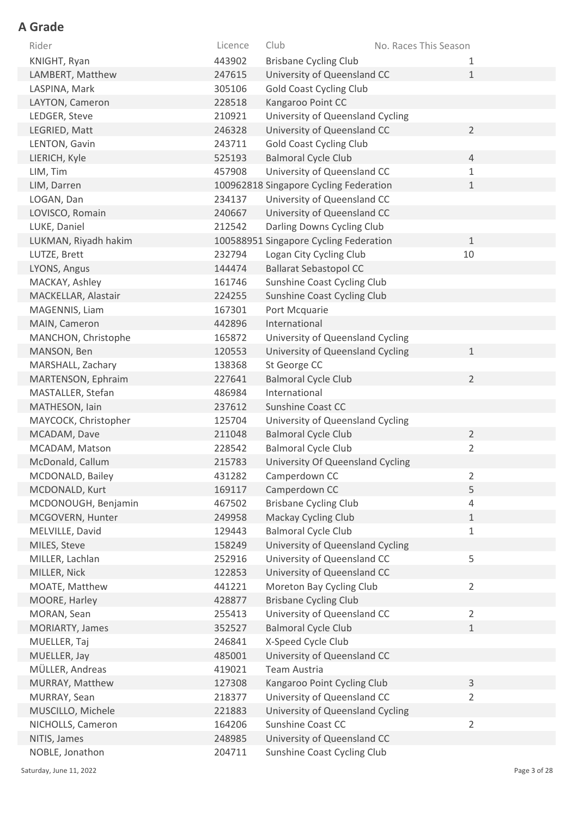| 443902<br>KNIGHT, Ryan<br><b>Brisbane Cycling Club</b><br>1<br>247615<br>University of Queensland CC<br>LAMBERT, Matthew<br>$\mathbf{1}$<br>LASPINA, Mark<br>305106<br><b>Gold Coast Cycling Club</b><br>Kangaroo Point CC<br>LAYTON, Cameron<br>228518<br>210921<br>University of Queensland Cycling<br>LEDGER, Steve<br>University of Queensland CC<br>$\overline{2}$<br>LEGRIED, Matt<br>246328<br>243711<br><b>Gold Coast Cycling Club</b><br>LENTON, Gavin<br><b>Balmoral Cycle Club</b><br>LIERICH, Kyle<br>$\overline{4}$<br>525193<br>University of Queensland CC<br>LIM, Tim<br>457908<br>$\mathbf{1}$<br>LIM, Darren<br>100962818 Singapore Cycling Federation<br>$\mathbf{1}$<br>University of Queensland CC<br>LOGAN, Dan<br>234137<br>University of Queensland CC<br>LOVISCO, Romain<br>240667<br>LUKE, Daniel<br>Darling Downs Cycling Club<br>212542<br>LUKMAN, Riyadh hakim<br>100588951 Singapore Cycling Federation<br>$\mathbf{1}$<br>10<br>LUTZE, Brett<br>232794<br>Logan City Cycling Club<br>144474<br><b>Ballarat Sebastopol CC</b><br>LYONS, Angus<br>Sunshine Coast Cycling Club<br>MACKAY, Ashley<br>161746<br>MACKELLAR, Alastair<br>224255<br>Sunshine Coast Cycling Club |
|--------------------------------------------------------------------------------------------------------------------------------------------------------------------------------------------------------------------------------------------------------------------------------------------------------------------------------------------------------------------------------------------------------------------------------------------------------------------------------------------------------------------------------------------------------------------------------------------------------------------------------------------------------------------------------------------------------------------------------------------------------------------------------------------------------------------------------------------------------------------------------------------------------------------------------------------------------------------------------------------------------------------------------------------------------------------------------------------------------------------------------------------------------------------------------------------------------|
|                                                                                                                                                                                                                                                                                                                                                                                                                                                                                                                                                                                                                                                                                                                                                                                                                                                                                                                                                                                                                                                                                                                                                                                                        |
|                                                                                                                                                                                                                                                                                                                                                                                                                                                                                                                                                                                                                                                                                                                                                                                                                                                                                                                                                                                                                                                                                                                                                                                                        |
|                                                                                                                                                                                                                                                                                                                                                                                                                                                                                                                                                                                                                                                                                                                                                                                                                                                                                                                                                                                                                                                                                                                                                                                                        |
|                                                                                                                                                                                                                                                                                                                                                                                                                                                                                                                                                                                                                                                                                                                                                                                                                                                                                                                                                                                                                                                                                                                                                                                                        |
|                                                                                                                                                                                                                                                                                                                                                                                                                                                                                                                                                                                                                                                                                                                                                                                                                                                                                                                                                                                                                                                                                                                                                                                                        |
|                                                                                                                                                                                                                                                                                                                                                                                                                                                                                                                                                                                                                                                                                                                                                                                                                                                                                                                                                                                                                                                                                                                                                                                                        |
|                                                                                                                                                                                                                                                                                                                                                                                                                                                                                                                                                                                                                                                                                                                                                                                                                                                                                                                                                                                                                                                                                                                                                                                                        |
|                                                                                                                                                                                                                                                                                                                                                                                                                                                                                                                                                                                                                                                                                                                                                                                                                                                                                                                                                                                                                                                                                                                                                                                                        |
|                                                                                                                                                                                                                                                                                                                                                                                                                                                                                                                                                                                                                                                                                                                                                                                                                                                                                                                                                                                                                                                                                                                                                                                                        |
|                                                                                                                                                                                                                                                                                                                                                                                                                                                                                                                                                                                                                                                                                                                                                                                                                                                                                                                                                                                                                                                                                                                                                                                                        |
|                                                                                                                                                                                                                                                                                                                                                                                                                                                                                                                                                                                                                                                                                                                                                                                                                                                                                                                                                                                                                                                                                                                                                                                                        |
|                                                                                                                                                                                                                                                                                                                                                                                                                                                                                                                                                                                                                                                                                                                                                                                                                                                                                                                                                                                                                                                                                                                                                                                                        |
|                                                                                                                                                                                                                                                                                                                                                                                                                                                                                                                                                                                                                                                                                                                                                                                                                                                                                                                                                                                                                                                                                                                                                                                                        |
|                                                                                                                                                                                                                                                                                                                                                                                                                                                                                                                                                                                                                                                                                                                                                                                                                                                                                                                                                                                                                                                                                                                                                                                                        |
|                                                                                                                                                                                                                                                                                                                                                                                                                                                                                                                                                                                                                                                                                                                                                                                                                                                                                                                                                                                                                                                                                                                                                                                                        |
|                                                                                                                                                                                                                                                                                                                                                                                                                                                                                                                                                                                                                                                                                                                                                                                                                                                                                                                                                                                                                                                                                                                                                                                                        |
|                                                                                                                                                                                                                                                                                                                                                                                                                                                                                                                                                                                                                                                                                                                                                                                                                                                                                                                                                                                                                                                                                                                                                                                                        |
|                                                                                                                                                                                                                                                                                                                                                                                                                                                                                                                                                                                                                                                                                                                                                                                                                                                                                                                                                                                                                                                                                                                                                                                                        |
| MAGENNIS, Liam<br>167301<br>Port Mcquarie                                                                                                                                                                                                                                                                                                                                                                                                                                                                                                                                                                                                                                                                                                                                                                                                                                                                                                                                                                                                                                                                                                                                                              |
| International<br>MAIN, Cameron<br>442896                                                                                                                                                                                                                                                                                                                                                                                                                                                                                                                                                                                                                                                                                                                                                                                                                                                                                                                                                                                                                                                                                                                                                               |
| University of Queensland Cycling<br>MANCHON, Christophe<br>165872                                                                                                                                                                                                                                                                                                                                                                                                                                                                                                                                                                                                                                                                                                                                                                                                                                                                                                                                                                                                                                                                                                                                      |
| 120553<br>University of Queensland Cycling<br>MANSON, Ben<br>$\mathbf{1}$                                                                                                                                                                                                                                                                                                                                                                                                                                                                                                                                                                                                                                                                                                                                                                                                                                                                                                                                                                                                                                                                                                                              |
| 138368<br>St George CC<br>MARSHALL, Zachary                                                                                                                                                                                                                                                                                                                                                                                                                                                                                                                                                                                                                                                                                                                                                                                                                                                                                                                                                                                                                                                                                                                                                            |
| $\overline{2}$<br><b>Balmoral Cycle Club</b><br>MARTENSON, Ephraim<br>227641                                                                                                                                                                                                                                                                                                                                                                                                                                                                                                                                                                                                                                                                                                                                                                                                                                                                                                                                                                                                                                                                                                                           |
| MASTALLER, Stefan<br>486984<br>International                                                                                                                                                                                                                                                                                                                                                                                                                                                                                                                                                                                                                                                                                                                                                                                                                                                                                                                                                                                                                                                                                                                                                           |
| 237612<br>Sunshine Coast CC<br>MATHESON, Iain                                                                                                                                                                                                                                                                                                                                                                                                                                                                                                                                                                                                                                                                                                                                                                                                                                                                                                                                                                                                                                                                                                                                                          |
| MAYCOCK, Christopher<br>125704<br>University of Queensland Cycling                                                                                                                                                                                                                                                                                                                                                                                                                                                                                                                                                                                                                                                                                                                                                                                                                                                                                                                                                                                                                                                                                                                                     |
| <b>Balmoral Cycle Club</b><br>$\overline{2}$<br>MCADAM, Dave<br>211048                                                                                                                                                                                                                                                                                                                                                                                                                                                                                                                                                                                                                                                                                                                                                                                                                                                                                                                                                                                                                                                                                                                                 |
| <b>Balmoral Cycle Club</b><br>$\overline{2}$<br>228542<br>MCADAM, Matson                                                                                                                                                                                                                                                                                                                                                                                                                                                                                                                                                                                                                                                                                                                                                                                                                                                                                                                                                                                                                                                                                                                               |
| University Of Queensland Cycling<br>McDonald, Callum<br>215783                                                                                                                                                                                                                                                                                                                                                                                                                                                                                                                                                                                                                                                                                                                                                                                                                                                                                                                                                                                                                                                                                                                                         |
| MCDONALD, Bailey<br>431282<br>Camperdown CC<br>$\overline{2}$                                                                                                                                                                                                                                                                                                                                                                                                                                                                                                                                                                                                                                                                                                                                                                                                                                                                                                                                                                                                                                                                                                                                          |
| 5<br>MCDONALD, Kurt<br>Camperdown CC<br>169117                                                                                                                                                                                                                                                                                                                                                                                                                                                                                                                                                                                                                                                                                                                                                                                                                                                                                                                                                                                                                                                                                                                                                         |
| 467502<br><b>Brisbane Cycling Club</b><br>MCDONOUGH, Benjamin<br>$\overline{4}$                                                                                                                                                                                                                                                                                                                                                                                                                                                                                                                                                                                                                                                                                                                                                                                                                                                                                                                                                                                                                                                                                                                        |
| MCGOVERN, Hunter<br>Mackay Cycling Club<br>$1\,$<br>249958                                                                                                                                                                                                                                                                                                                                                                                                                                                                                                                                                                                                                                                                                                                                                                                                                                                                                                                                                                                                                                                                                                                                             |
| <b>Balmoral Cycle Club</b><br>MELVILLE, David<br>$\mathbf 1$<br>129443                                                                                                                                                                                                                                                                                                                                                                                                                                                                                                                                                                                                                                                                                                                                                                                                                                                                                                                                                                                                                                                                                                                                 |
| 158249<br>University of Queensland Cycling<br>MILES, Steve                                                                                                                                                                                                                                                                                                                                                                                                                                                                                                                                                                                                                                                                                                                                                                                                                                                                                                                                                                                                                                                                                                                                             |
| 5<br>MILLER, Lachlan<br>University of Queensland CC<br>252916                                                                                                                                                                                                                                                                                                                                                                                                                                                                                                                                                                                                                                                                                                                                                                                                                                                                                                                                                                                                                                                                                                                                          |
| MILLER, Nick<br>University of Queensland CC<br>122853                                                                                                                                                                                                                                                                                                                                                                                                                                                                                                                                                                                                                                                                                                                                                                                                                                                                                                                                                                                                                                                                                                                                                  |
| $\overline{2}$<br>441221<br>Moreton Bay Cycling Club<br>MOATE, Matthew                                                                                                                                                                                                                                                                                                                                                                                                                                                                                                                                                                                                                                                                                                                                                                                                                                                                                                                                                                                                                                                                                                                                 |
| <b>Brisbane Cycling Club</b><br>MOORE, Harley<br>428877                                                                                                                                                                                                                                                                                                                                                                                                                                                                                                                                                                                                                                                                                                                                                                                                                                                                                                                                                                                                                                                                                                                                                |
| University of Queensland CC<br>$\overline{2}$<br>MORAN, Sean<br>255413                                                                                                                                                                                                                                                                                                                                                                                                                                                                                                                                                                                                                                                                                                                                                                                                                                                                                                                                                                                                                                                                                                                                 |
| <b>Balmoral Cycle Club</b><br>$1\,$<br>MORIARTY, James<br>352527                                                                                                                                                                                                                                                                                                                                                                                                                                                                                                                                                                                                                                                                                                                                                                                                                                                                                                                                                                                                                                                                                                                                       |
| X-Speed Cycle Club<br>246841<br>MUELLER, Taj                                                                                                                                                                                                                                                                                                                                                                                                                                                                                                                                                                                                                                                                                                                                                                                                                                                                                                                                                                                                                                                                                                                                                           |
| MUELLER, Jay<br>University of Queensland CC<br>485001                                                                                                                                                                                                                                                                                                                                                                                                                                                                                                                                                                                                                                                                                                                                                                                                                                                                                                                                                                                                                                                                                                                                                  |
| MÜLLER, Andreas<br>Team Austria<br>419021                                                                                                                                                                                                                                                                                                                                                                                                                                                                                                                                                                                                                                                                                                                                                                                                                                                                                                                                                                                                                                                                                                                                                              |
| MURRAY, Matthew<br>Kangaroo Point Cycling Club<br>3<br>127308                                                                                                                                                                                                                                                                                                                                                                                                                                                                                                                                                                                                                                                                                                                                                                                                                                                                                                                                                                                                                                                                                                                                          |
| $\overline{2}$<br>University of Queensland CC<br>MURRAY, Sean<br>218377                                                                                                                                                                                                                                                                                                                                                                                                                                                                                                                                                                                                                                                                                                                                                                                                                                                                                                                                                                                                                                                                                                                                |
| University of Queensland Cycling<br>MUSCILLO, Michele<br>221883                                                                                                                                                                                                                                                                                                                                                                                                                                                                                                                                                                                                                                                                                                                                                                                                                                                                                                                                                                                                                                                                                                                                        |
| Sunshine Coast CC<br>NICHOLLS, Cameron<br>164206<br>$\overline{2}$                                                                                                                                                                                                                                                                                                                                                                                                                                                                                                                                                                                                                                                                                                                                                                                                                                                                                                                                                                                                                                                                                                                                     |
| 248985<br>University of Queensland CC<br>NITIS, James                                                                                                                                                                                                                                                                                                                                                                                                                                                                                                                                                                                                                                                                                                                                                                                                                                                                                                                                                                                                                                                                                                                                                  |
| NOBLE, Jonathon<br>Sunshine Coast Cycling Club<br>204711                                                                                                                                                                                                                                                                                                                                                                                                                                                                                                                                                                                                                                                                                                                                                                                                                                                                                                                                                                                                                                                                                                                                               |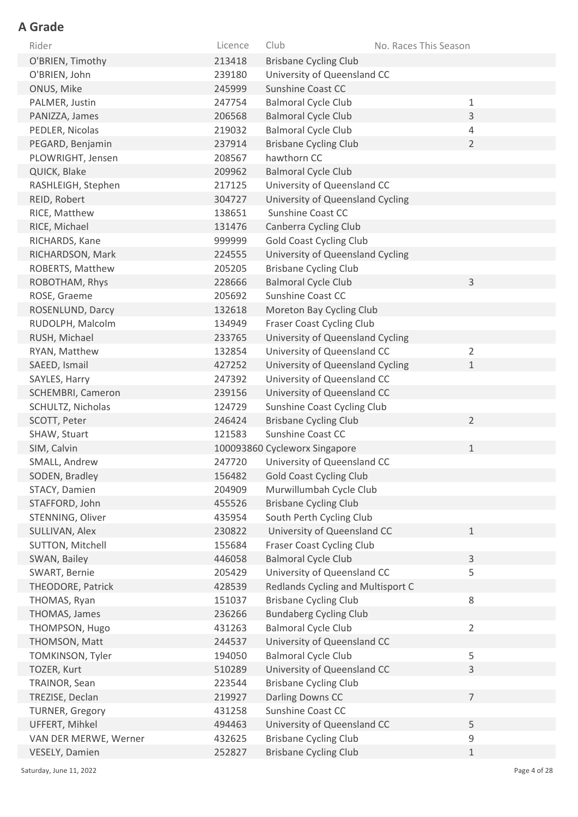| Rider                  | Licence | Club                              | No. Races This Season |  |
|------------------------|---------|-----------------------------------|-----------------------|--|
| O'BRIEN, Timothy       | 213418  | <b>Brisbane Cycling Club</b>      |                       |  |
| O'BRIEN, John          | 239180  | University of Queensland CC       |                       |  |
| ONUS, Mike             | 245999  | <b>Sunshine Coast CC</b>          |                       |  |
| PALMER, Justin         | 247754  | <b>Balmoral Cycle Club</b>        | 1                     |  |
| PANIZZA, James         | 206568  | <b>Balmoral Cycle Club</b>        | 3                     |  |
| PEDLER, Nicolas        | 219032  | <b>Balmoral Cycle Club</b>        | 4                     |  |
| PEGARD, Benjamin       | 237914  | <b>Brisbane Cycling Club</b>      | $\overline{2}$        |  |
| PLOWRIGHT, Jensen      | 208567  | hawthorn CC                       |                       |  |
| QUICK, Blake           | 209962  | <b>Balmoral Cycle Club</b>        |                       |  |
| RASHLEIGH, Stephen     | 217125  | University of Queensland CC       |                       |  |
| REID, Robert           | 304727  | University of Queensland Cycling  |                       |  |
| RICE, Matthew          | 138651  | Sunshine Coast CC                 |                       |  |
| RICE, Michael          | 131476  | Canberra Cycling Club             |                       |  |
| RICHARDS, Kane         | 999999  | <b>Gold Coast Cycling Club</b>    |                       |  |
| RICHARDSON, Mark       | 224555  | University of Queensland Cycling  |                       |  |
| ROBERTS, Matthew       | 205205  | <b>Brisbane Cycling Club</b>      |                       |  |
| ROBOTHAM, Rhys         | 228666  | <b>Balmoral Cycle Club</b>        | 3                     |  |
| ROSE, Graeme           | 205692  | Sunshine Coast CC                 |                       |  |
| ROSENLUND, Darcy       | 132618  | Moreton Bay Cycling Club          |                       |  |
| RUDOLPH, Malcolm       | 134949  | Fraser Coast Cycling Club         |                       |  |
| RUSH, Michael          | 233765  | University of Queensland Cycling  |                       |  |
| RYAN, Matthew          | 132854  | University of Queensland CC       | $\overline{2}$        |  |
| SAEED, Ismail          | 427252  | University of Queensland Cycling  | $\mathbf 1$           |  |
| SAYLES, Harry          | 247392  | University of Queensland CC       |                       |  |
| SCHEMBRI, Cameron      | 239156  | University of Queensland CC       |                       |  |
| SCHULTZ, Nicholas      | 124729  | Sunshine Coast Cycling Club       |                       |  |
| SCOTT, Peter           | 246424  | <b>Brisbane Cycling Club</b>      | $\overline{2}$        |  |
| SHAW, Stuart           | 121583  | Sunshine Coast CC                 |                       |  |
| SIM, Calvin            |         | 100093860 Cycleworx Singapore     | $\mathbf 1$           |  |
| SMALL, Andrew          | 247720  | University of Queensland CC       |                       |  |
| SODEN, Bradley         | 156482  | <b>Gold Coast Cycling Club</b>    |                       |  |
| STACY, Damien          | 204909  | Murwillumbah Cycle Club           |                       |  |
| STAFFORD, John         | 455526  | <b>Brisbane Cycling Club</b>      |                       |  |
| STENNING, Oliver       | 435954  | South Perth Cycling Club          |                       |  |
| SULLIVAN, Alex         | 230822  | University of Queensland CC       | $\mathbf{1}$          |  |
| SUTTON, Mitchell       | 155684  | <b>Fraser Coast Cycling Club</b>  |                       |  |
| SWAN, Bailey           | 446058  | <b>Balmoral Cycle Club</b>        | $\mathsf{3}$          |  |
| SWART, Bernie          | 205429  | University of Queensland CC       | 5                     |  |
| THEODORE, Patrick      | 428539  | Redlands Cycling and Multisport C |                       |  |
| THOMAS, Ryan           | 151037  | <b>Brisbane Cycling Club</b>      | $\,8\,$               |  |
| THOMAS, James          | 236266  | <b>Bundaberg Cycling Club</b>     |                       |  |
| THOMPSON, Hugo         | 431263  | <b>Balmoral Cycle Club</b>        | $\overline{2}$        |  |
| THOMSON, Matt          | 244537  | University of Queensland CC       |                       |  |
| TOMKINSON, Tyler       | 194050  | <b>Balmoral Cycle Club</b>        | 5                     |  |
| TOZER, Kurt            | 510289  | University of Queensland CC       | 3                     |  |
| TRAINOR, Sean          | 223544  | <b>Brisbane Cycling Club</b>      |                       |  |
| TREZISE, Declan        | 219927  | Darling Downs CC                  | $\overline{7}$        |  |
| <b>TURNER, Gregory</b> | 431258  | <b>Sunshine Coast CC</b>          |                       |  |
| UFFERT, Mihkel         | 494463  | University of Queensland CC       | 5                     |  |
| VAN DER MERWE, Werner  | 432625  | <b>Brisbane Cycling Club</b>      | $\mathsf 9$           |  |
| VESELY, Damien         | 252827  | <b>Brisbane Cycling Club</b>      | 1                     |  |

Saturday, June 11, 2022 Page 4 of 28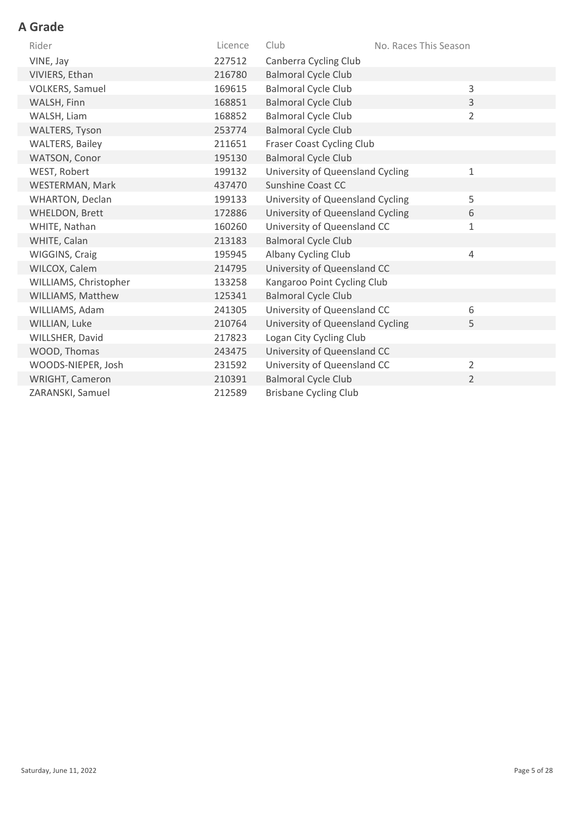| Rider                  | Licence | Club                             | No. Races This Season |                |
|------------------------|---------|----------------------------------|-----------------------|----------------|
| VINE, Jay              | 227512  | Canberra Cycling Club            |                       |                |
| VIVIERS, Ethan         | 216780  | <b>Balmoral Cycle Club</b>       |                       |                |
| <b>VOLKERS, Samuel</b> | 169615  | <b>Balmoral Cycle Club</b>       |                       | 3              |
| WALSH, Finn            | 168851  | <b>Balmoral Cycle Club</b>       |                       | $\overline{3}$ |
| WALSH, Liam            | 168852  | <b>Balmoral Cycle Club</b>       |                       | $\overline{2}$ |
| <b>WALTERS, Tyson</b>  | 253774  | <b>Balmoral Cycle Club</b>       |                       |                |
| <b>WALTERS, Bailey</b> | 211651  | <b>Fraser Coast Cycling Club</b> |                       |                |
| WATSON, Conor          | 195130  | <b>Balmoral Cycle Club</b>       |                       |                |
| WEST, Robert           | 199132  | University of Queensland Cycling |                       | 1              |
| WESTERMAN, Mark        | 437470  | <b>Sunshine Coast CC</b>         |                       |                |
| <b>WHARTON, Declan</b> | 199133  | University of Queensland Cycling |                       | 5              |
| WHELDON, Brett         | 172886  | University of Queensland Cycling |                       | 6              |
| WHITE, Nathan          | 160260  | University of Queensland CC      |                       | $\mathbf 1$    |
| WHITE, Calan           | 213183  | <b>Balmoral Cycle Club</b>       |                       |                |
| WIGGINS, Craig         | 195945  | Albany Cycling Club              |                       | $\sqrt{4}$     |
| WILCOX, Calem          | 214795  | University of Queensland CC      |                       |                |
| WILLIAMS, Christopher  | 133258  | Kangaroo Point Cycling Club      |                       |                |
| WILLIAMS, Matthew      | 125341  | <b>Balmoral Cycle Club</b>       |                       |                |
| WILLIAMS, Adam         | 241305  | University of Queensland CC      |                       | 6              |
| WILLIAN, Luke          | 210764  | University of Queensland Cycling |                       | 5              |
| WILLSHER, David        | 217823  | Logan City Cycling Club          |                       |                |
| WOOD, Thomas           | 243475  | University of Queensland CC      |                       |                |
| WOODS-NIEPER, Josh     | 231592  | University of Queensland CC      |                       | $\overline{2}$ |
| WRIGHT, Cameron        | 210391  | <b>Balmoral Cycle Club</b>       |                       | $\overline{2}$ |
| ZARANSKI, Samuel       | 212589  | <b>Brisbane Cycling Club</b>     |                       |                |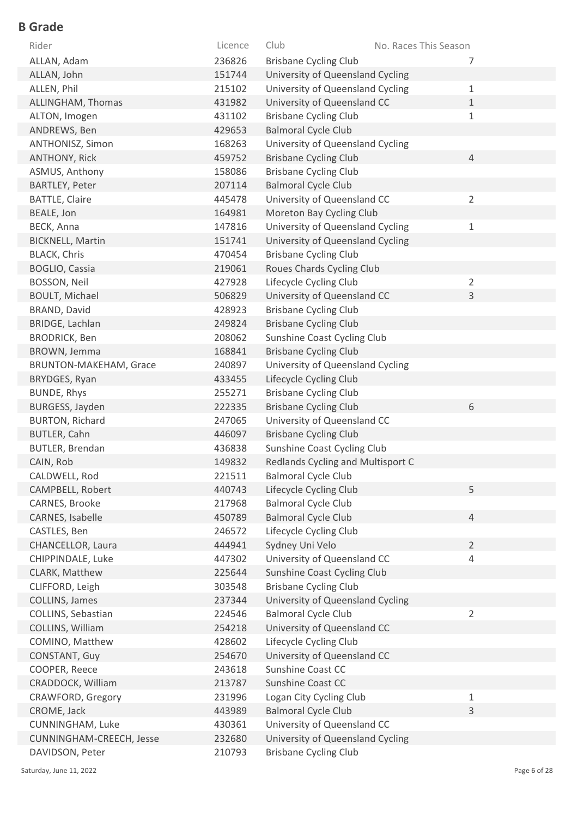| Rider                    | Licence | Club                              | No. Races This Season |
|--------------------------|---------|-----------------------------------|-----------------------|
| ALLAN, Adam              | 236826  | <b>Brisbane Cycling Club</b>      | 7                     |
| ALLAN, John              | 151744  | University of Queensland Cycling  |                       |
| ALLEN, Phil              | 215102  | University of Queensland Cycling  | 1                     |
| ALLINGHAM, Thomas        | 431982  | University of Queensland CC       | $\mathbf{1}$          |
| ALTON, Imogen            | 431102  | <b>Brisbane Cycling Club</b>      | $\mathbf{1}$          |
| ANDREWS, Ben             | 429653  | <b>Balmoral Cycle Club</b>        |                       |
| ANTHONISZ, Simon         | 168263  | University of Queensland Cycling  |                       |
| <b>ANTHONY, Rick</b>     | 459752  | <b>Brisbane Cycling Club</b>      | $\overline{4}$        |
| ASMUS, Anthony           | 158086  | <b>Brisbane Cycling Club</b>      |                       |
| BARTLEY, Peter           | 207114  | <b>Balmoral Cycle Club</b>        |                       |
| <b>BATTLE, Claire</b>    | 445478  | University of Queensland CC       | $\overline{2}$        |
| BEALE, Jon               | 164981  | Moreton Bay Cycling Club          |                       |
| BECK, Anna               | 147816  | University of Queensland Cycling  | $\mathbf 1$           |
| <b>BICKNELL, Martin</b>  | 151741  | University of Queensland Cycling  |                       |
| <b>BLACK, Chris</b>      | 470454  | <b>Brisbane Cycling Club</b>      |                       |
| <b>BOGLIO, Cassia</b>    | 219061  | Roues Chards Cycling Club         |                       |
| BOSSON, Neil             | 427928  | Lifecycle Cycling Club            | $\overline{2}$        |
| <b>BOULT, Michael</b>    | 506829  | University of Queensland CC       | 3                     |
| BRAND, David             | 428923  | <b>Brisbane Cycling Club</b>      |                       |
| BRIDGE, Lachlan          | 249824  | <b>Brisbane Cycling Club</b>      |                       |
| <b>BRODRICK, Ben</b>     | 208062  | Sunshine Coast Cycling Club       |                       |
| BROWN, Jemma             | 168841  | <b>Brisbane Cycling Club</b>      |                       |
| BRUNTON-MAKEHAM, Grace   | 240897  | University of Queensland Cycling  |                       |
| BRYDGES, Ryan            | 433455  | Lifecycle Cycling Club            |                       |
| BUNDE, Rhys              | 255271  | <b>Brisbane Cycling Club</b>      |                       |
| BURGESS, Jayden          | 222335  | <b>Brisbane Cycling Club</b>      | 6                     |
| <b>BURTON, Richard</b>   | 247065  | University of Queensland CC       |                       |
| <b>BUTLER, Cahn</b>      | 446097  | <b>Brisbane Cycling Club</b>      |                       |
| <b>BUTLER, Brendan</b>   | 436838  | Sunshine Coast Cycling Club       |                       |
| CAIN, Rob                | 149832  | Redlands Cycling and Multisport C |                       |
| CALDWELL, Rod            | 221511  | <b>Balmoral Cycle Club</b>        |                       |
| CAMPBELL, Robert         | 440743  | Lifecycle Cycling Club            | 5                     |
| CARNES, Brooke           | 217968  | <b>Balmoral Cycle Club</b>        |                       |
| CARNES, Isabelle         | 450789  | <b>Balmoral Cycle Club</b>        | $\overline{4}$        |
| CASTLES, Ben             | 246572  | Lifecycle Cycling Club            |                       |
| CHANCELLOR, Laura        | 444941  | Sydney Uni Velo                   | $\overline{2}$        |
| CHIPPINDALE, Luke        | 447302  | University of Queensland CC       | $\overline{4}$        |
| CLARK, Matthew           | 225644  | Sunshine Coast Cycling Club       |                       |
| CLIFFORD, Leigh          | 303548  | <b>Brisbane Cycling Club</b>      |                       |
| COLLINS, James           | 237344  | University of Queensland Cycling  |                       |
| COLLINS, Sebastian       | 224546  | <b>Balmoral Cycle Club</b>        | $\overline{2}$        |
| COLLINS, William         | 254218  | University of Queensland CC       |                       |
| COMINO, Matthew          | 428602  | Lifecycle Cycling Club            |                       |
| CONSTANT, Guy            | 254670  | University of Queensland CC       |                       |
| COOPER, Reece            | 243618  | Sunshine Coast CC                 |                       |
| CRADDOCK, William        | 213787  | Sunshine Coast CC                 |                       |
| CRAWFORD, Gregory        | 231996  | Logan City Cycling Club           | $\mathbf 1$           |
| CROME, Jack              | 443989  | <b>Balmoral Cycle Club</b>        | 3                     |
| CUNNINGHAM, Luke         | 430361  | University of Queensland CC       |                       |
| CUNNINGHAM-CREECH, Jesse | 232680  | University of Queensland Cycling  |                       |
| DAVIDSON, Peter          | 210793  | <b>Brisbane Cycling Club</b>      |                       |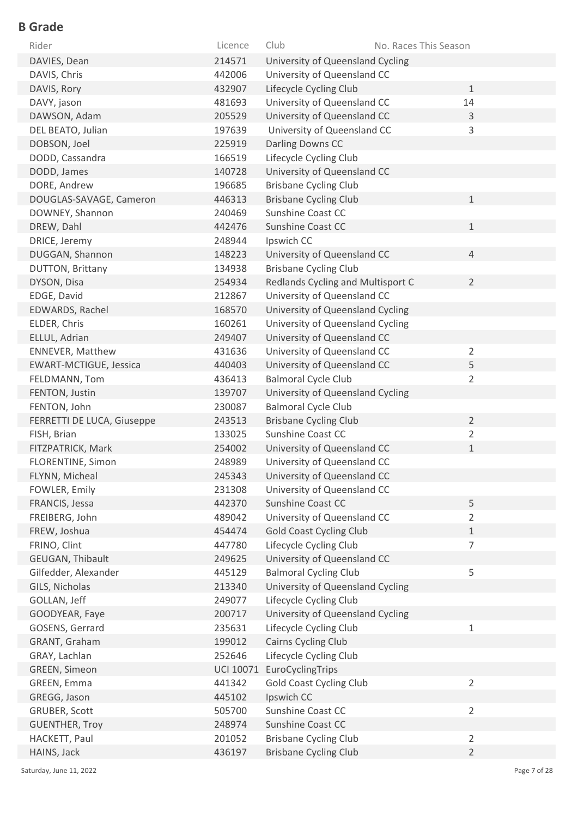| Rider                         | Licence          | Club<br>No. Races This Season                       |
|-------------------------------|------------------|-----------------------------------------------------|
| DAVIES, Dean                  | 214571           | University of Queensland Cycling                    |
| DAVIS, Chris                  | 442006           | University of Queensland CC                         |
| DAVIS, Rory                   | 432907           | Lifecycle Cycling Club<br>$\mathbf{1}$              |
| DAVY, jason                   | 481693           | University of Queensland CC<br>14                   |
| DAWSON, Adam                  | 205529           | University of Queensland CC<br>$\mathsf 3$          |
| DEL BEATO, Julian             | 197639           | University of Queensland CC<br>3                    |
| DOBSON, Joel                  | 225919           | Darling Downs CC                                    |
| DODD, Cassandra               | 166519           | Lifecycle Cycling Club                              |
| DODD, James                   | 140728           | University of Queensland CC                         |
| DORE, Andrew                  | 196685           | <b>Brisbane Cycling Club</b>                        |
| DOUGLAS-SAVAGE, Cameron       | 446313           | <b>Brisbane Cycling Club</b><br>$\mathbf{1}$        |
| DOWNEY, Shannon               | 240469           | Sunshine Coast CC                                   |
| DREW, Dahl                    | 442476           | Sunshine Coast CC<br>$\mathbf{1}$                   |
| DRICE, Jeremy                 | 248944           | Ipswich CC                                          |
| DUGGAN, Shannon               | 148223           | University of Queensland CC<br>$\overline{4}$       |
| <b>DUTTON, Brittany</b>       | 134938           | <b>Brisbane Cycling Club</b>                        |
| DYSON, Disa                   | 254934           | $\overline{2}$<br>Redlands Cycling and Multisport C |
| EDGE, David                   | 212867           | University of Queensland CC                         |
| EDWARDS, Rachel               | 168570           | University of Queensland Cycling                    |
| ELDER, Chris                  | 160261           | University of Queensland Cycling                    |
| ELLUL, Adrian                 | 249407           | University of Queensland CC                         |
| <b>ENNEVER, Matthew</b>       | 431636           | University of Queensland CC<br>$\overline{2}$       |
| <b>EWART-MCTIGUE, Jessica</b> | 440403           | University of Queensland CC<br>5                    |
| FELDMANN, Tom                 | 436413           | <b>Balmoral Cycle Club</b><br>$\overline{2}$        |
| FENTON, Justin                | 139707           | University of Queensland Cycling                    |
| FENTON, John                  | 230087           | <b>Balmoral Cycle Club</b>                          |
| FERRETTI DE LUCA, Giuseppe    | 243513           | $\overline{2}$<br><b>Brisbane Cycling Club</b>      |
| FISH, Brian                   | 133025           | Sunshine Coast CC<br>$\overline{2}$                 |
| FITZPATRICK, Mark             | 254002           | University of Queensland CC<br>$\mathbf{1}$         |
| FLORENTINE, Simon             | 248989           | University of Queensland CC                         |
| FLYNN, Micheal                | 245343           | University of Queensland CC                         |
| FOWLER, Emily                 | 231308           | University of Queensland CC                         |
| FRANCIS, Jessa                | 442370           | 5<br><b>Sunshine Coast CC</b>                       |
| FREIBERG, John                | 489042           | University of Queensland CC<br>$\overline{2}$       |
| FREW, Joshua                  | 454474           | <b>Gold Coast Cycling Club</b><br>$\mathbf 1$       |
| FRINO, Clint                  | 447780           | $\overline{7}$<br>Lifecycle Cycling Club            |
| GEUGAN, Thibault              | 249625           | University of Queensland CC                         |
| Gilfedder, Alexander          | 445129           | 5<br><b>Balmoral Cycling Club</b>                   |
| GILS, Nicholas                | 213340           | University of Queensland Cycling                    |
| GOLLAN, Jeff                  | 249077           | Lifecycle Cycling Club                              |
| GOODYEAR, Faye                | 200717           | University of Queensland Cycling                    |
| GOSENS, Gerrard               | 235631           | $1\,$<br>Lifecycle Cycling Club                     |
| GRANT, Graham                 | 199012           | Cairns Cycling Club                                 |
| GRAY, Lachlan                 | 252646           | Lifecycle Cycling Club                              |
| GREEN, Simeon                 | <b>UCI 10071</b> | EuroCyclingTrips                                    |
| GREEN, Emma                   | 441342           | $\overline{2}$<br><b>Gold Coast Cycling Club</b>    |
| GREGG, Jason                  | 445102           | Ipswich CC                                          |
| GRUBER, Scott                 | 505700           | Sunshine Coast CC<br>$\overline{2}$                 |
| <b>GUENTHER, Troy</b>         | 248974           | <b>Sunshine Coast CC</b>                            |
| HACKETT, Paul                 | 201052           | <b>Brisbane Cycling Club</b><br>$\overline{2}$      |
| HAINS, Jack                   | 436197           | <b>Brisbane Cycling Club</b><br>$\overline{2}$      |

Saturday, June 11, 2022 Page 7 of 28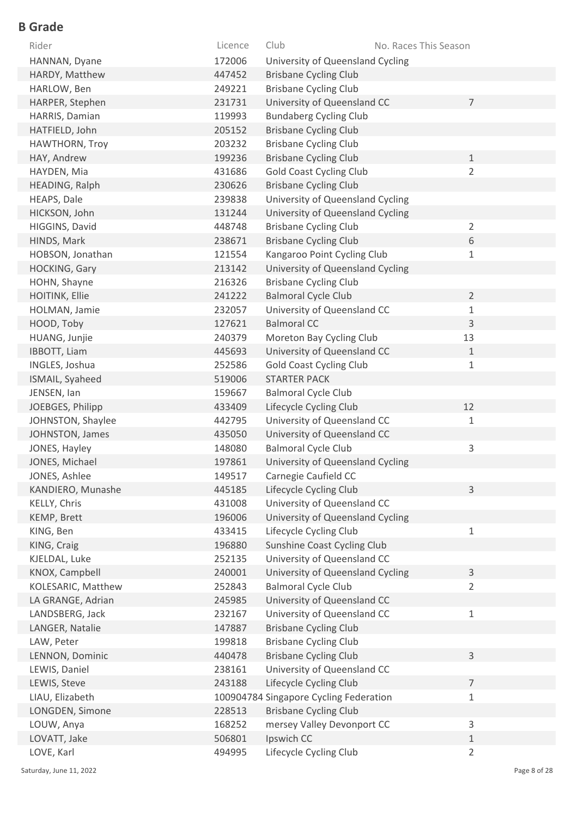| Rider               | Licence | Club<br>No. Races This Season          |                |
|---------------------|---------|----------------------------------------|----------------|
| HANNAN, Dyane       | 172006  | University of Queensland Cycling       |                |
| HARDY, Matthew      | 447452  | <b>Brisbane Cycling Club</b>           |                |
| HARLOW, Ben         | 249221  | <b>Brisbane Cycling Club</b>           |                |
| HARPER, Stephen     | 231731  | University of Queensland CC            | $\overline{7}$ |
| HARRIS, Damian      | 119993  | <b>Bundaberg Cycling Club</b>          |                |
| HATFIELD, John      | 205152  | <b>Brisbane Cycling Club</b>           |                |
| HAWTHORN, Troy      | 203232  | <b>Brisbane Cycling Club</b>           |                |
| HAY, Andrew         | 199236  | <b>Brisbane Cycling Club</b>           | $\mathbf{1}$   |
| HAYDEN, Mia         | 431686  | <b>Gold Coast Cycling Club</b>         | $\overline{2}$ |
| HEADING, Ralph      | 230626  | <b>Brisbane Cycling Club</b>           |                |
| HEAPS, Dale         | 239838  | University of Queensland Cycling       |                |
| HICKSON, John       | 131244  | University of Queensland Cycling       |                |
| HIGGINS, David      | 448748  | <b>Brisbane Cycling Club</b>           | $\overline{2}$ |
| HINDS, Mark         | 238671  | <b>Brisbane Cycling Club</b>           | 6              |
| HOBSON, Jonathan    | 121554  | Kangaroo Point Cycling Club            | $\mathbf{1}$   |
| HOCKING, Gary       | 213142  | University of Queensland Cycling       |                |
| HOHN, Shayne        | 216326  | <b>Brisbane Cycling Club</b>           |                |
| HOITINK, Ellie      | 241222  | <b>Balmoral Cycle Club</b>             | $\overline{2}$ |
| HOLMAN, Jamie       | 232057  | University of Queensland CC            | 1              |
| HOOD, Toby          | 127621  | <b>Balmoral CC</b>                     | 3              |
| HUANG, Junjie       | 240379  | Moreton Bay Cycling Club               | 13             |
| <b>IBBOTT, Liam</b> | 445693  | University of Queensland CC            | 1              |
| INGLES, Joshua      | 252586  | <b>Gold Coast Cycling Club</b>         | $\mathbf 1$    |
| ISMAIL, Syaheed     | 519006  | <b>STARTER PACK</b>                    |                |
| JENSEN, Ian         | 159667  | <b>Balmoral Cycle Club</b>             |                |
| JOEBGES, Philipp    | 433409  | Lifecycle Cycling Club                 | 12             |
| JOHNSTON, Shaylee   | 442795  | University of Queensland CC            | 1              |
| JOHNSTON, James     | 435050  | University of Queensland CC            |                |
| JONES, Hayley       | 148080  | <b>Balmoral Cycle Club</b>             | 3              |
| JONES, Michael      | 197861  | University of Queensland Cycling       |                |
| JONES, Ashlee       | 149517  | Carnegie Caufield CC                   |                |
| KANDIERO, Munashe   | 445185  | Lifecycle Cycling Club                 | 3              |
| KELLY, Chris        | 431008  | University of Queensland CC            |                |
| KEMP, Brett         | 196006  | University of Queensland Cycling       |                |
| KING, Ben           | 433415  | Lifecycle Cycling Club                 | 1              |
| KING, Craig         | 196880  | Sunshine Coast Cycling Club            |                |
| KJELDAL, Luke       | 252135  | University of Queensland CC            |                |
| KNOX, Campbell      | 240001  | University of Queensland Cycling       | 3              |
| KOLESARIC, Matthew  | 252843  | <b>Balmoral Cycle Club</b>             | $\overline{2}$ |
| LA GRANGE, Adrian   | 245985  | University of Queensland CC            |                |
| LANDSBERG, Jack     | 232167  | University of Queensland CC            | 1              |
| LANGER, Natalie     | 147887  | <b>Brisbane Cycling Club</b>           |                |
| LAW, Peter          | 199818  | <b>Brisbane Cycling Club</b>           |                |
| LENNON, Dominic     | 440478  | <b>Brisbane Cycling Club</b>           | 3              |
| LEWIS, Daniel       | 238161  | University of Queensland CC            |                |
| LEWIS, Steve        | 243188  | Lifecycle Cycling Club                 | $\overline{7}$ |
| LIAU, Elizabeth     |         | 100904784 Singapore Cycling Federation | $1\,$          |
| LONGDEN, Simone     | 228513  | <b>Brisbane Cycling Club</b>           |                |
| LOUW, Anya          | 168252  | mersey Valley Devonport CC             | 3              |
| LOVATT, Jake        | 506801  | Ipswich CC                             | $\mathbf{1}$   |
| LOVE, Karl          | 494995  | Lifecycle Cycling Club                 | $\overline{2}$ |

Saturday, June 11, 2022 2001 2012 12:30 Page 8 of 28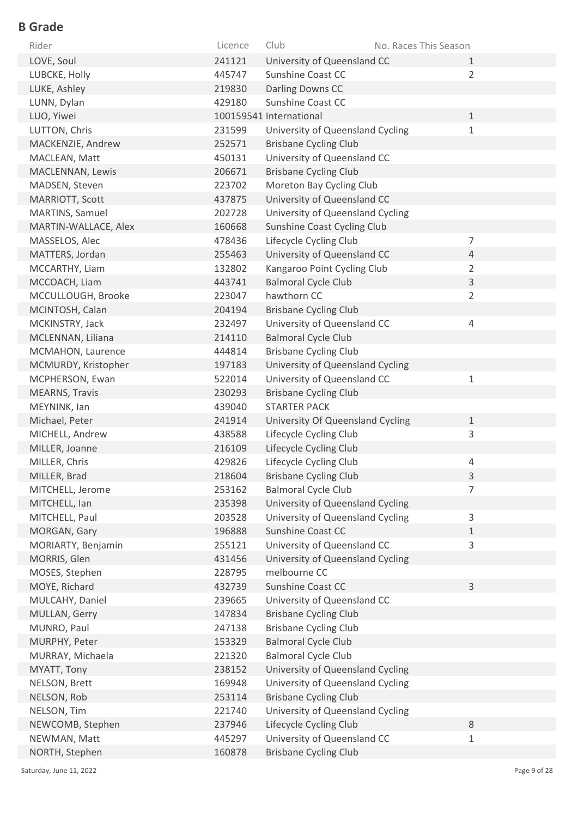| Rider                 | Licence | Club                             | No. Races This Season |                |
|-----------------------|---------|----------------------------------|-----------------------|----------------|
| LOVE, Soul            | 241121  | University of Queensland CC      |                       | $\mathbf{1}$   |
| LUBCKE, Holly         | 445747  | Sunshine Coast CC                |                       | $\overline{2}$ |
| LUKE, Ashley          | 219830  | Darling Downs CC                 |                       |                |
| LUNN, Dylan           | 429180  | Sunshine Coast CC                |                       |                |
| LUO, Yiwei            |         | 100159541 International          |                       | $\mathbf{1}$   |
| LUTTON, Chris         | 231599  | University of Queensland Cycling |                       | $\mathbf{1}$   |
| MACKENZIE, Andrew     | 252571  | <b>Brisbane Cycling Club</b>     |                       |                |
| MACLEAN, Matt         | 450131  | University of Queensland CC      |                       |                |
| MACLENNAN, Lewis      | 206671  | <b>Brisbane Cycling Club</b>     |                       |                |
| MADSEN, Steven        | 223702  | Moreton Bay Cycling Club         |                       |                |
| MARRIOTT, Scott       | 437875  | University of Queensland CC      |                       |                |
| MARTINS, Samuel       | 202728  | University of Queensland Cycling |                       |                |
| MARTIN-WALLACE, Alex  | 160668  | Sunshine Coast Cycling Club      |                       |                |
| MASSELOS, Alec        | 478436  | Lifecycle Cycling Club           |                       | $\overline{7}$ |
| MATTERS, Jordan       | 255463  | University of Queensland CC      |                       | $\overline{4}$ |
| MCCARTHY, Liam        | 132802  | Kangaroo Point Cycling Club      |                       | $\overline{2}$ |
| MCCOACH, Liam         | 443741  | <b>Balmoral Cycle Club</b>       |                       | 3              |
| MCCULLOUGH, Brooke    | 223047  | hawthorn CC                      |                       | $\overline{2}$ |
| MCINTOSH, Calan       | 204194  | <b>Brisbane Cycling Club</b>     |                       |                |
| MCKINSTRY, Jack       | 232497  | University of Queensland CC      |                       | 4              |
| MCLENNAN, Liliana     | 214110  | <b>Balmoral Cycle Club</b>       |                       |                |
| MCMAHON, Laurence     | 444814  | <b>Brisbane Cycling Club</b>     |                       |                |
| MCMURDY, Kristopher   | 197183  | University of Queensland Cycling |                       |                |
| MCPHERSON, Ewan       | 522014  | University of Queensland CC      |                       | $\mathbf{1}$   |
| <b>MEARNS, Travis</b> | 230293  | <b>Brisbane Cycling Club</b>     |                       |                |
| MEYNINK, lan          | 439040  | <b>STARTER PACK</b>              |                       |                |
| Michael, Peter        | 241914  | University Of Queensland Cycling |                       | $\mathbf{1}$   |
| MICHELL, Andrew       | 438588  | Lifecycle Cycling Club           |                       | 3              |
| MILLER, Joanne        | 216109  | Lifecycle Cycling Club           |                       |                |
| MILLER, Chris         | 429826  | Lifecycle Cycling Club           |                       | 4              |
| MILLER, Brad          | 218604  | <b>Brisbane Cycling Club</b>     |                       | 3              |
| MITCHELL, Jerome      | 253162  | <b>Balmoral Cycle Club</b>       |                       | 7              |
| MITCHELL, Ian         | 235398  | University of Queensland Cycling |                       |                |
| MITCHELL, Paul        | 203528  | University of Queensland Cycling |                       | 3              |
| MORGAN, Gary          | 196888  | <b>Sunshine Coast CC</b>         |                       | $\mathbf{1}$   |
| MORIARTY, Benjamin    | 255121  | University of Queensland CC      |                       | 3              |
| MORRIS, Glen          | 431456  | University of Queensland Cycling |                       |                |
| MOSES, Stephen        | 228795  | melbourne CC                     |                       |                |
| MOYE, Richard         | 432739  | Sunshine Coast CC                |                       | 3              |
| MULCAHY, Daniel       | 239665  | University of Queensland CC      |                       |                |
| MULLAN, Gerry         | 147834  | <b>Brisbane Cycling Club</b>     |                       |                |
| MUNRO, Paul           | 247138  | <b>Brisbane Cycling Club</b>     |                       |                |
| MURPHY, Peter         | 153329  | <b>Balmoral Cycle Club</b>       |                       |                |
| MURRAY, Michaela      | 221320  | <b>Balmoral Cycle Club</b>       |                       |                |
| MYATT, Tony           | 238152  | University of Queensland Cycling |                       |                |
| NELSON, Brett         | 169948  | University of Queensland Cycling |                       |                |
| NELSON, Rob           | 253114  | <b>Brisbane Cycling Club</b>     |                       |                |
| NELSON, Tim           | 221740  | University of Queensland Cycling |                       |                |
| NEWCOMB, Stephen      | 237946  | Lifecycle Cycling Club           |                       | 8              |
| NEWMAN, Matt          | 445297  | University of Queensland CC      |                       | $\mathbf{1}$   |
| NORTH, Stephen        | 160878  | <b>Brisbane Cycling Club</b>     |                       |                |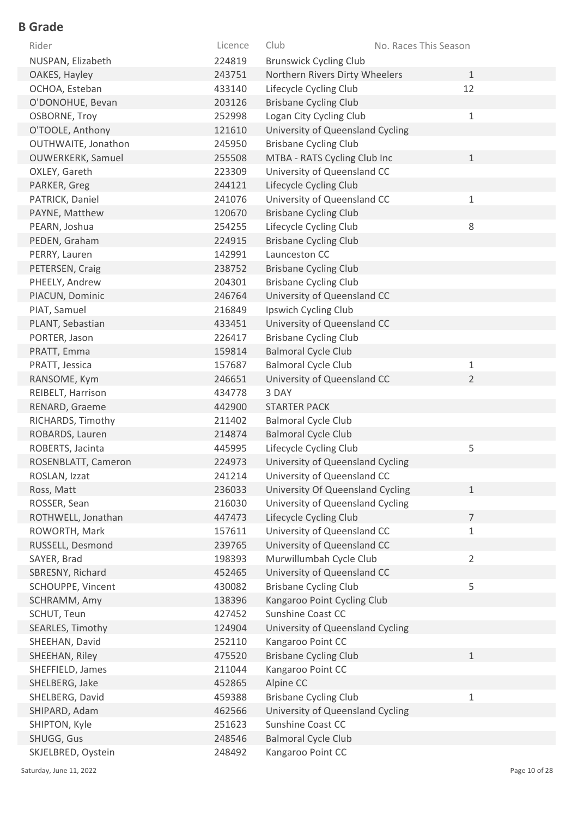| Rider                    | Licence | Club                             | No. Races This Season |
|--------------------------|---------|----------------------------------|-----------------------|
| NUSPAN, Elizabeth        | 224819  | <b>Brunswick Cycling Club</b>    |                       |
| OAKES, Hayley            | 243751  | Northern Rivers Dirty Wheelers   | $\mathbf{1}$          |
| OCHOA, Esteban           | 433140  | Lifecycle Cycling Club           | 12                    |
| O'DONOHUE, Bevan         | 203126  | <b>Brisbane Cycling Club</b>     |                       |
| <b>OSBORNE, Troy</b>     | 252998  | Logan City Cycling Club          | $\mathbf 1$           |
| O'TOOLE, Anthony         | 121610  | University of Queensland Cycling |                       |
| OUTHWAITE, Jonathon      | 245950  | <b>Brisbane Cycling Club</b>     |                       |
| <b>OUWERKERK, Samuel</b> | 255508  | MTBA - RATS Cycling Club Inc     | $\mathbf{1}$          |
| OXLEY, Gareth            | 223309  | University of Queensland CC      |                       |
| PARKER, Greg             | 244121  | Lifecycle Cycling Club           |                       |
| PATRICK, Daniel          | 241076  | University of Queensland CC      | $\mathbf{1}$          |
| PAYNE, Matthew           | 120670  | <b>Brisbane Cycling Club</b>     |                       |
| PEARN, Joshua            | 254255  | Lifecycle Cycling Club           | 8                     |
| PEDEN, Graham            | 224915  | <b>Brisbane Cycling Club</b>     |                       |
| PERRY, Lauren            | 142991  | Launceston CC                    |                       |
| PETERSEN, Craig          | 238752  | <b>Brisbane Cycling Club</b>     |                       |
| PHEELY, Andrew           | 204301  | <b>Brisbane Cycling Club</b>     |                       |
| PIACUN, Dominic          | 246764  | University of Queensland CC      |                       |
| PIAT, Samuel             | 216849  | Ipswich Cycling Club             |                       |
| PLANT, Sebastian         | 433451  | University of Queensland CC      |                       |
| PORTER, Jason            | 226417  | <b>Brisbane Cycling Club</b>     |                       |
| PRATT, Emma              | 159814  | <b>Balmoral Cycle Club</b>       |                       |
| PRATT, Jessica           | 157687  | <b>Balmoral Cycle Club</b>       | $1\,$                 |
| RANSOME, Kym             | 246651  | University of Queensland CC      | $\overline{2}$        |
| REIBELT, Harrison        | 434778  | 3 DAY                            |                       |
| RENARD, Graeme           | 442900  | <b>STARTER PACK</b>              |                       |
| RICHARDS, Timothy        | 211402  | <b>Balmoral Cycle Club</b>       |                       |
| ROBARDS, Lauren          | 214874  | <b>Balmoral Cycle Club</b>       |                       |
| ROBERTS, Jacinta         | 445995  | Lifecycle Cycling Club           | 5                     |
| ROSENBLATT, Cameron      | 224973  | University of Queensland Cycling |                       |
| ROSLAN, Izzat            | 241214  | University of Queensland CC      |                       |
| Ross, Matt               | 236033  | University Of Queensland Cycling | $\mathbf{1}$          |
| ROSSER, Sean             | 216030  | University of Queensland Cycling |                       |
| ROTHWELL, Jonathan       | 447473  | Lifecycle Cycling Club           | $\overline{7}$        |
| ROWORTH, Mark            | 157611  | University of Queensland CC      | $\mathbf{1}$          |
| RUSSELL, Desmond         | 239765  | University of Queensland CC      |                       |
| SAYER, Brad              | 198393  | Murwillumbah Cycle Club          | $\overline{2}$        |
| SBRESNY, Richard         | 452465  | University of Queensland CC      |                       |
| SCHOUPPE, Vincent        | 430082  | <b>Brisbane Cycling Club</b>     | 5                     |
| SCHRAMM, Amy             | 138396  | Kangaroo Point Cycling Club      |                       |
| SCHUT, Teun              | 427452  | Sunshine Coast CC                |                       |
| SEARLES, Timothy         | 124904  | University of Queensland Cycling |                       |
| SHEEHAN, David           | 252110  | Kangaroo Point CC                |                       |
| SHEEHAN, Riley           | 475520  | <b>Brisbane Cycling Club</b>     | $\mathbf{1}$          |
| SHEFFIELD, James         | 211044  | Kangaroo Point CC                |                       |
| SHELBERG, Jake           | 452865  | Alpine CC                        |                       |
| SHELBERG, David          | 459388  | <b>Brisbane Cycling Club</b>     | $\mathbf 1$           |
| SHIPARD, Adam            | 462566  | University of Queensland Cycling |                       |
| SHIPTON, Kyle            | 251623  | <b>Sunshine Coast CC</b>         |                       |
| SHUGG, Gus               | 248546  | <b>Balmoral Cycle Club</b>       |                       |
| SKJELBRED, Oystein       | 248492  | Kangaroo Point CC                |                       |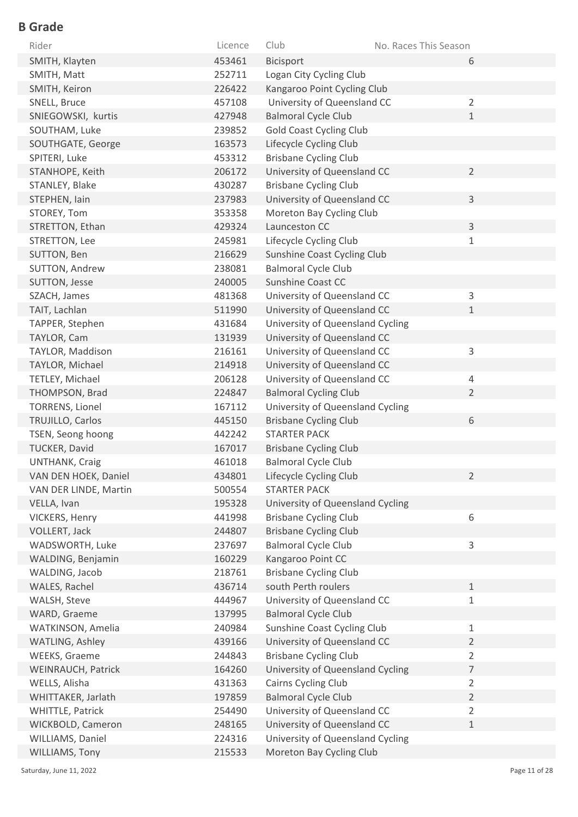| Rider                  | Licence | Club                             | No. Races This Season |                |
|------------------------|---------|----------------------------------|-----------------------|----------------|
| SMITH, Klayten         | 453461  | Bicisport                        |                       | 6              |
| SMITH, Matt            | 252711  | Logan City Cycling Club          |                       |                |
| SMITH, Keiron          | 226422  | Kangaroo Point Cycling Club      |                       |                |
| SNELL, Bruce           | 457108  | University of Queensland CC      |                       | $\overline{2}$ |
| SNIEGOWSKI, kurtis     | 427948  | <b>Balmoral Cycle Club</b>       |                       | $\mathbf 1$    |
| SOUTHAM, Luke          | 239852  | <b>Gold Coast Cycling Club</b>   |                       |                |
| SOUTHGATE, George      | 163573  | Lifecycle Cycling Club           |                       |                |
| SPITERI, Luke          | 453312  | <b>Brisbane Cycling Club</b>     |                       |                |
| STANHOPE, Keith        | 206172  | University of Queensland CC      |                       | $\overline{2}$ |
| STANLEY, Blake         | 430287  | <b>Brisbane Cycling Club</b>     |                       |                |
| STEPHEN, lain          | 237983  | University of Queensland CC      |                       | $\mathsf{3}$   |
| STOREY, Tom            | 353358  | Moreton Bay Cycling Club         |                       |                |
| STRETTON, Ethan        | 429324  | Launceston CC                    |                       | 3              |
| STRETTON, Lee          | 245981  | Lifecycle Cycling Club           |                       | $\mathbf{1}$   |
| SUTTON, Ben            | 216629  | Sunshine Coast Cycling Club      |                       |                |
| SUTTON, Andrew         | 238081  | <b>Balmoral Cycle Club</b>       |                       |                |
| SUTTON, Jesse          | 240005  | <b>Sunshine Coast CC</b>         |                       |                |
| SZACH, James           | 481368  | University of Queensland CC      |                       | $\mathsf{3}$   |
| TAIT, Lachlan          | 511990  | University of Queensland CC      |                       | $\mathbf{1}$   |
| TAPPER, Stephen        | 431684  | University of Queensland Cycling |                       |                |
| TAYLOR, Cam            | 131939  | University of Queensland CC      |                       |                |
| TAYLOR, Maddison       | 216161  | University of Queensland CC      |                       | 3              |
| TAYLOR, Michael        | 214918  | University of Queensland CC      |                       |                |
| TETLEY, Michael        | 206128  | University of Queensland CC      |                       | 4              |
| THOMPSON, Brad         | 224847  | <b>Balmoral Cycling Club</b>     |                       | $\overline{2}$ |
| <b>TORRENS, Lionel</b> | 167112  | University of Queensland Cycling |                       |                |
| TRUJILLO, Carlos       | 445150  | <b>Brisbane Cycling Club</b>     |                       | 6              |
| TSEN, Seong hoong      | 442242  | <b>STARTER PACK</b>              |                       |                |
| TUCKER, David          | 167017  | <b>Brisbane Cycling Club</b>     |                       |                |
| <b>UNTHANK, Craig</b>  | 461018  | <b>Balmoral Cycle Club</b>       |                       |                |
| VAN DEN HOEK, Daniel   | 434801  | Lifecycle Cycling Club           |                       | $\overline{2}$ |
| VAN DER LINDE, Martin  | 500554  | <b>STARTER PACK</b>              |                       |                |
| VELLA, Ivan            | 195328  | University of Queensland Cycling |                       |                |
| VICKERS, Henry         | 441998  | <b>Brisbane Cycling Club</b>     |                       | 6              |
| VOLLERT, Jack          | 244807  | <b>Brisbane Cycling Club</b>     |                       |                |
| WADSWORTH, Luke        | 237697  | <b>Balmoral Cycle Club</b>       |                       | 3              |
| WALDING, Benjamin      | 160229  | Kangaroo Point CC                |                       |                |
| WALDING, Jacob         | 218761  | <b>Brisbane Cycling Club</b>     |                       |                |
| WALES, Rachel          | 436714  | south Perth roulers              |                       | $\mathbf{1}$   |
| WALSH, Steve           | 444967  | University of Queensland CC      |                       | $\mathbf{1}$   |
| WARD, Graeme           | 137995  | <b>Balmoral Cycle Club</b>       |                       |                |
| WATKINSON, Amelia      | 240984  | Sunshine Coast Cycling Club      |                       | $\mathbf 1$    |
| WATLING, Ashley        | 439166  | University of Queensland CC      |                       | $\overline{2}$ |
| WEEKS, Graeme          | 244843  | <b>Brisbane Cycling Club</b>     |                       | $\overline{2}$ |
| WEINRAUCH, Patrick     | 164260  | University of Queensland Cycling |                       | $\overline{7}$ |
| WELLS, Alisha          | 431363  | Cairns Cycling Club              |                       | $\overline{2}$ |
| WHITTAKER, Jarlath     | 197859  | <b>Balmoral Cycle Club</b>       |                       | $\overline{2}$ |
| WHITTLE, Patrick       | 254490  | University of Queensland CC      |                       | $\overline{2}$ |
| WICKBOLD, Cameron      | 248165  | University of Queensland CC      |                       | $1\,$          |
| WILLIAMS, Daniel       | 224316  | University of Queensland Cycling |                       |                |
| WILLIAMS, Tony         | 215533  | Moreton Bay Cycling Club         |                       |                |

Saturday, June 11, 2022 Page 11 of 28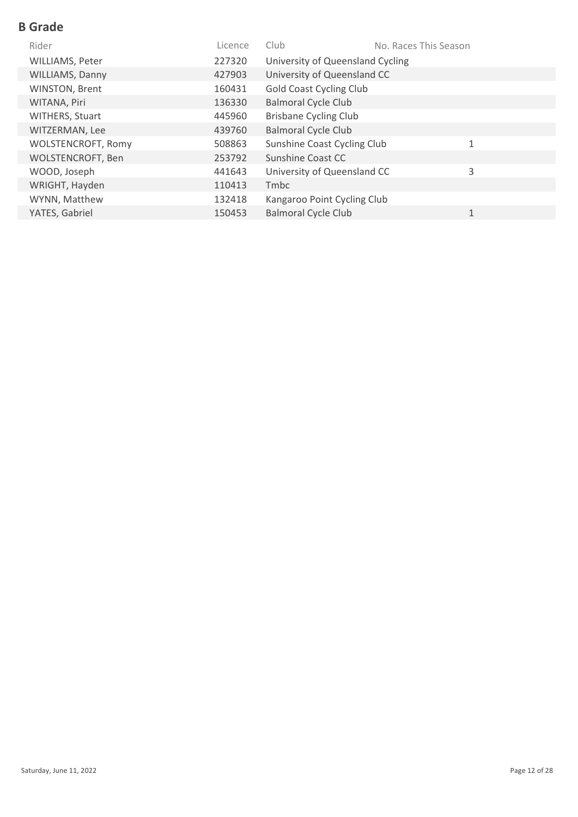| Rider                     | Licence | Club                             | No. Races This Season |              |
|---------------------------|---------|----------------------------------|-----------------------|--------------|
| WILLIAMS, Peter           | 227320  | University of Queensland Cycling |                       |              |
| WILLIAMS, Danny           | 427903  | University of Queensland CC      |                       |              |
| WINSTON, Brent            | 160431  | <b>Gold Coast Cycling Club</b>   |                       |              |
| WITANA, Piri              | 136330  | <b>Balmoral Cycle Club</b>       |                       |              |
| WITHERS, Stuart           | 445960  | <b>Brisbane Cycling Club</b>     |                       |              |
| WITZERMAN, Lee            | 439760  | <b>Balmoral Cycle Club</b>       |                       |              |
| <b>WOLSTENCROFT, Romy</b> | 508863  | Sunshine Coast Cycling Club      |                       | $\mathbf{1}$ |
| <b>WOLSTENCROFT, Ben</b>  | 253792  | Sunshine Coast CC                |                       |              |
| WOOD, Joseph              | 441643  | University of Queensland CC      |                       | 3            |
| WRIGHT, Hayden            | 110413  | Tmbc                             |                       |              |
| WYNN, Matthew             | 132418  | Kangaroo Point Cycling Club      |                       |              |
| YATES, Gabriel            | 150453  | <b>Balmoral Cycle Club</b>       |                       | $\mathbf{1}$ |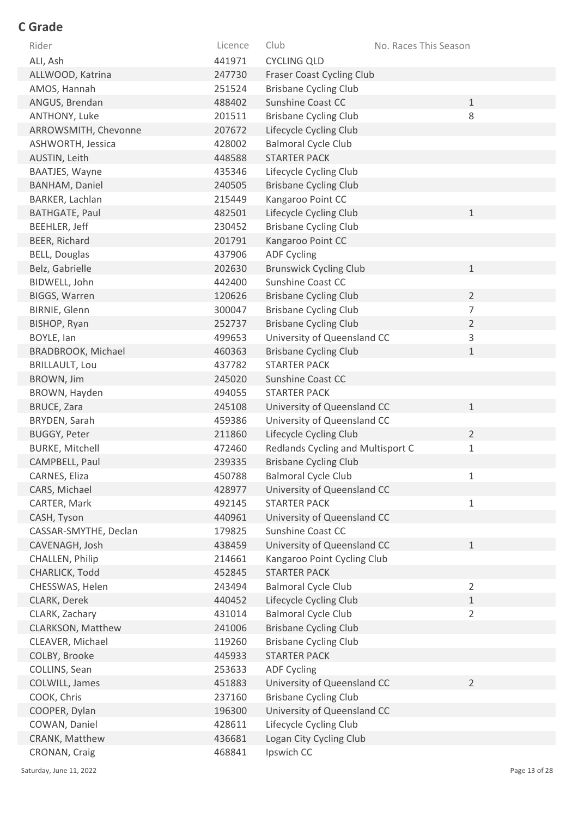| Rider                  | Licence | Club                              | No. Races This Season |
|------------------------|---------|-----------------------------------|-----------------------|
| ALI, Ash               | 441971  | <b>CYCLING QLD</b>                |                       |
| ALLWOOD, Katrina       | 247730  | <b>Fraser Coast Cycling Club</b>  |                       |
| AMOS, Hannah           | 251524  | <b>Brisbane Cycling Club</b>      |                       |
| ANGUS, Brendan         | 488402  | Sunshine Coast CC                 | $\mathbf 1$           |
| ANTHONY, Luke          | 201511  | <b>Brisbane Cycling Club</b>      | 8                     |
| ARROWSMITH, Chevonne   | 207672  | Lifecycle Cycling Club            |                       |
| ASHWORTH, Jessica      | 428002  | <b>Balmoral Cycle Club</b>        |                       |
| AUSTIN, Leith          | 448588  | <b>STARTER PACK</b>               |                       |
| BAATJES, Wayne         | 435346  | Lifecycle Cycling Club            |                       |
| <b>BANHAM, Daniel</b>  | 240505  | <b>Brisbane Cycling Club</b>      |                       |
| BARKER, Lachlan        | 215449  | Kangaroo Point CC                 |                       |
| <b>BATHGATE, Paul</b>  | 482501  | Lifecycle Cycling Club            | $\mathbf 1$           |
| BEEHLER, Jeff          | 230452  | <b>Brisbane Cycling Club</b>      |                       |
| BEER, Richard          | 201791  | Kangaroo Point CC                 |                       |
| <b>BELL, Douglas</b>   | 437906  | <b>ADF Cycling</b>                |                       |
| Belz, Gabrielle        | 202630  | <b>Brunswick Cycling Club</b>     | $\mathbf{1}$          |
| BIDWELL, John          | 442400  | Sunshine Coast CC                 |                       |
| <b>BIGGS, Warren</b>   | 120626  | <b>Brisbane Cycling Club</b>      | $\overline{2}$        |
| BIRNIE, Glenn          | 300047  | <b>Brisbane Cycling Club</b>      | 7                     |
| BISHOP, Ryan           | 252737  | <b>Brisbane Cycling Club</b>      | $\overline{2}$        |
| BOYLE, Ian             | 499653  | University of Queensland CC       | 3                     |
| BRADBROOK, Michael     | 460363  | <b>Brisbane Cycling Club</b>      | 1                     |
| <b>BRILLAULT, Lou</b>  | 437782  | <b>STARTER PACK</b>               |                       |
| BROWN, Jim             | 245020  | <b>Sunshine Coast CC</b>          |                       |
| BROWN, Hayden          | 494055  | <b>STARTER PACK</b>               |                       |
| <b>BRUCE, Zara</b>     | 245108  | University of Queensland CC       | $\mathbf 1$           |
| BRYDEN, Sarah          | 459386  | University of Queensland CC       |                       |
| <b>BUGGY, Peter</b>    | 211860  | Lifecycle Cycling Club            | $\overline{2}$        |
| <b>BURKE, Mitchell</b> | 472460  | Redlands Cycling and Multisport C | 1                     |
| CAMPBELL, Paul         | 239335  | <b>Brisbane Cycling Club</b>      |                       |
| CARNES, Eliza          | 450788  | <b>Balmoral Cycle Club</b>        | 1                     |
| CARS, Michael          | 428977  | University of Queensland CC       |                       |
| CARTER, Mark           | 492145  | <b>STARTER PACK</b>               | 1                     |
| CASH, Tyson            | 440961  | University of Queensland CC       |                       |
| CASSAR-SMYTHE, Declan  | 179825  | Sunshine Coast CC                 |                       |
| CAVENAGH, Josh         | 438459  | University of Queensland CC       | $\mathbf 1$           |
| CHALLEN, Philip        | 214661  | Kangaroo Point Cycling Club       |                       |
| CHARLICK, Todd         | 452845  | <b>STARTER PACK</b>               |                       |
| CHESSWAS, Helen        | 243494  | <b>Balmoral Cycle Club</b>        | $\overline{2}$        |
| CLARK, Derek           | 440452  | Lifecycle Cycling Club            | $\mathbf 1$           |
| CLARK, Zachary         | 431014  | <b>Balmoral Cycle Club</b>        | $\overline{2}$        |
| CLARKSON, Matthew      | 241006  | <b>Brisbane Cycling Club</b>      |                       |
| CLEAVER, Michael       | 119260  | <b>Brisbane Cycling Club</b>      |                       |
| COLBY, Brooke          | 445933  | <b>STARTER PACK</b>               |                       |
| COLLINS, Sean          | 253633  | <b>ADF Cycling</b>                |                       |
| COLWILL, James         | 451883  | University of Queensland CC       | $\overline{2}$        |
| COOK, Chris            | 237160  | <b>Brisbane Cycling Club</b>      |                       |
| COOPER, Dylan          | 196300  | University of Queensland CC       |                       |
| COWAN, Daniel          | 428611  | Lifecycle Cycling Club            |                       |
| CRANK, Matthew         | 436681  | Logan City Cycling Club           |                       |
| CRONAN, Craig          | 468841  | Ipswich CC                        |                       |

Saturday, June 11, 2022 2001 2012 12:30 Page 13 of 28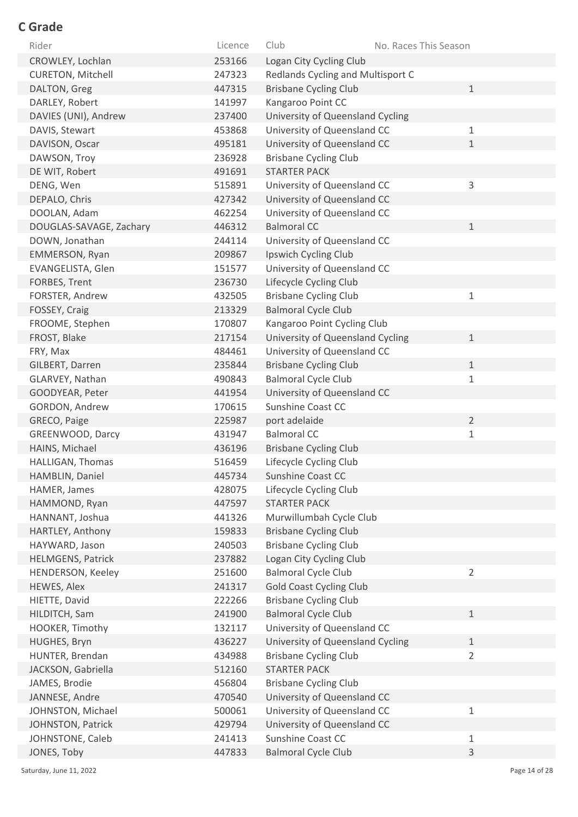| Rider                    | Licence | Club<br>No. Races This Season     |                |
|--------------------------|---------|-----------------------------------|----------------|
| CROWLEY, Lochlan         | 253166  | Logan City Cycling Club           |                |
| <b>CURETON, Mitchell</b> | 247323  | Redlands Cycling and Multisport C |                |
| DALTON, Greg             | 447315  | <b>Brisbane Cycling Club</b>      | $\mathbf{1}$   |
| DARLEY, Robert           | 141997  | Kangaroo Point CC                 |                |
| DAVIES (UNI), Andrew     | 237400  | University of Queensland Cycling  |                |
| DAVIS, Stewart           | 453868  | University of Queensland CC       | $\mathbf{1}$   |
| DAVISON, Oscar           | 495181  | University of Queensland CC       | $\mathbf{1}$   |
| DAWSON, Troy             | 236928  | <b>Brisbane Cycling Club</b>      |                |
| DE WIT, Robert           | 491691  | <b>STARTER PACK</b>               |                |
| DENG, Wen                | 515891  | University of Queensland CC       | 3              |
| DEPALO, Chris            | 427342  | University of Queensland CC       |                |
| DOOLAN, Adam             | 462254  | University of Queensland CC       |                |
| DOUGLAS-SAVAGE, Zachary  | 446312  | <b>Balmoral CC</b>                | $\mathbf{1}$   |
| DOWN, Jonathan           | 244114  | University of Queensland CC       |                |
| EMMERSON, Ryan           | 209867  | Ipswich Cycling Club              |                |
| EVANGELISTA, Glen        | 151577  | University of Queensland CC       |                |
| FORBES, Trent            | 236730  | Lifecycle Cycling Club            |                |
| FORSTER, Andrew          | 432505  | <b>Brisbane Cycling Club</b>      | $\mathbf 1$    |
| FOSSEY, Craig            | 213329  | <b>Balmoral Cycle Club</b>        |                |
| FROOME, Stephen          | 170807  | Kangaroo Point Cycling Club       |                |
| FROST, Blake             | 217154  | University of Queensland Cycling  | $\mathbf 1$    |
| FRY, Max                 | 484461  | University of Queensland CC       |                |
| GILBERT, Darren          | 235844  | <b>Brisbane Cycling Club</b>      | $\mathbf 1$    |
| GLARVEY, Nathan          | 490843  | <b>Balmoral Cycle Club</b>        | $\mathbf{1}$   |
| GOODYEAR, Peter          | 441954  | University of Queensland CC       |                |
| GORDON, Andrew           | 170615  | Sunshine Coast CC                 |                |
| GRECO, Paige             | 225987  | port adelaide                     | $\overline{2}$ |
| GREENWOOD, Darcy         | 431947  | <b>Balmoral CC</b>                | $\mathbf 1$    |
| HAINS, Michael           | 436196  | <b>Brisbane Cycling Club</b>      |                |
| HALLIGAN, Thomas         | 516459  | Lifecycle Cycling Club            |                |
| HAMBLIN, Daniel          | 445734  | Sunshine Coast CC                 |                |
| HAMER, James             | 428075  | Lifecycle Cycling Club            |                |
| HAMMOND, Ryan            | 447597  | <b>STARTER PACK</b>               |                |
| HANNANT, Joshua          | 441326  | Murwillumbah Cycle Club           |                |
| HARTLEY, Anthony         | 159833  | <b>Brisbane Cycling Club</b>      |                |
| HAYWARD, Jason           | 240503  | <b>Brisbane Cycling Club</b>      |                |
| <b>HELMGENS, Patrick</b> | 237882  | Logan City Cycling Club           |                |
| HENDERSON, Keeley        | 251600  | <b>Balmoral Cycle Club</b>        | $\overline{2}$ |
| HEWES, Alex              | 241317  | <b>Gold Coast Cycling Club</b>    |                |
| HIETTE, David            | 222266  | <b>Brisbane Cycling Club</b>      |                |
| HILDITCH, Sam            | 241900  | <b>Balmoral Cycle Club</b>        | $\mathbf{1}$   |
| HOOKER, Timothy          | 132117  | University of Queensland CC       |                |
| HUGHES, Bryn             | 436227  | University of Queensland Cycling  | $\mathbf{1}$   |
| HUNTER, Brendan          | 434988  | <b>Brisbane Cycling Club</b>      | $\overline{2}$ |
| JACKSON, Gabriella       | 512160  | <b>STARTER PACK</b>               |                |
| JAMES, Brodie            | 456804  | <b>Brisbane Cycling Club</b>      |                |
| JANNESE, Andre           | 470540  | University of Queensland CC       |                |
| JOHNSTON, Michael        | 500061  | University of Queensland CC       | $1\,$          |
| JOHNSTON, Patrick        | 429794  | University of Queensland CC       |                |
| JOHNSTONE, Caleb         | 241413  | Sunshine Coast CC                 | $1\,$          |
| JONES, Toby              | 447833  | <b>Balmoral Cycle Club</b>        | 3              |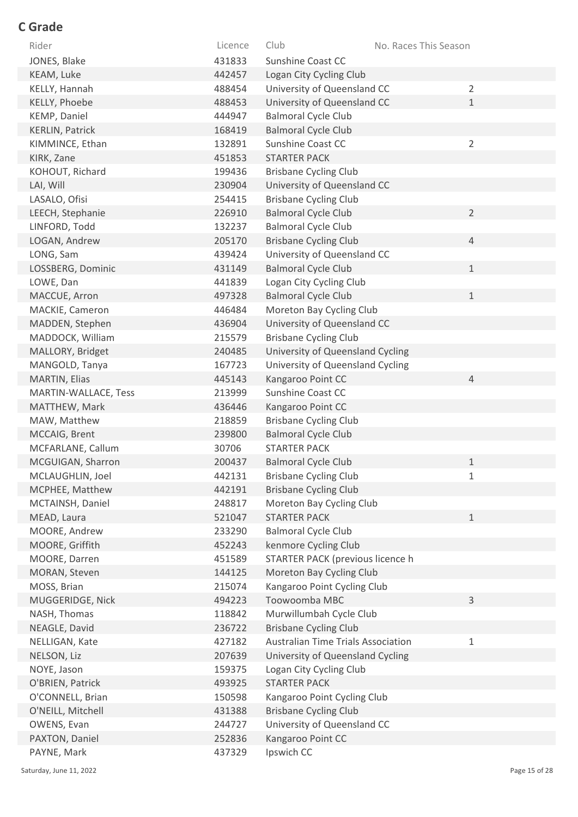| Rider                  | Licence | Club                               | No. Races This Season |
|------------------------|---------|------------------------------------|-----------------------|
| JONES, Blake           | 431833  | Sunshine Coast CC                  |                       |
| KEAM, Luke             | 442457  | Logan City Cycling Club            |                       |
| KELLY, Hannah          | 488454  | University of Queensland CC        | $\overline{2}$        |
| KELLY, Phoebe          | 488453  | University of Queensland CC        | $\mathbf{1}$          |
| KEMP, Daniel           | 444947  | <b>Balmoral Cycle Club</b>         |                       |
| <b>KERLIN, Patrick</b> | 168419  | <b>Balmoral Cycle Club</b>         |                       |
| KIMMINCE, Ethan        | 132891  | Sunshine Coast CC                  | $\overline{2}$        |
| KIRK, Zane             | 451853  | <b>STARTER PACK</b>                |                       |
| KOHOUT, Richard        | 199436  | <b>Brisbane Cycling Club</b>       |                       |
| LAI, Will              | 230904  | University of Queensland CC        |                       |
| LASALO, Ofisi          | 254415  | <b>Brisbane Cycling Club</b>       |                       |
| LEECH, Stephanie       | 226910  | <b>Balmoral Cycle Club</b>         | $\overline{2}$        |
| LINFORD, Todd          | 132237  | <b>Balmoral Cycle Club</b>         |                       |
| LOGAN, Andrew          | 205170  | <b>Brisbane Cycling Club</b>       | 4                     |
| LONG, Sam              | 439424  | University of Queensland CC        |                       |
| LOSSBERG, Dominic      | 431149  | <b>Balmoral Cycle Club</b>         | $\mathbf{1}$          |
| LOWE, Dan              | 441839  | Logan City Cycling Club            |                       |
| MACCUE, Arron          | 497328  | <b>Balmoral Cycle Club</b>         | $\mathbf 1$           |
| MACKIE, Cameron        | 446484  | Moreton Bay Cycling Club           |                       |
| MADDEN, Stephen        | 436904  | University of Queensland CC        |                       |
| MADDOCK, William       | 215579  | <b>Brisbane Cycling Club</b>       |                       |
| MALLORY, Bridget       | 240485  | University of Queensland Cycling   |                       |
| MANGOLD, Tanya         | 167723  | University of Queensland Cycling   |                       |
| MARTIN, Elias          | 445143  | Kangaroo Point CC                  | $\overline{4}$        |
| MARTIN-WALLACE, Tess   | 213999  | Sunshine Coast CC                  |                       |
| MATTHEW, Mark          | 436446  | Kangaroo Point CC                  |                       |
| MAW, Matthew           | 218859  | <b>Brisbane Cycling Club</b>       |                       |
| MCCAIG, Brent          | 239800  | <b>Balmoral Cycle Club</b>         |                       |
| MCFARLANE, Callum      | 30706   | <b>STARTER PACK</b>                |                       |
| MCGUIGAN, Sharron      | 200437  | <b>Balmoral Cycle Club</b>         | 1                     |
| MCLAUGHLIN, Joel       | 442131  | <b>Brisbane Cycling Club</b>       | 1                     |
| MCPHEE, Matthew        | 442191  | <b>Brisbane Cycling Club</b>       |                       |
| MCTAINSH, Daniel       | 248817  | Moreton Bay Cycling Club           |                       |
| MEAD, Laura            | 521047  | <b>STARTER PACK</b>                | $\mathbf{1}$          |
| MOORE, Andrew          | 233290  | <b>Balmoral Cycle Club</b>         |                       |
| MOORE, Griffith        | 452243  | kenmore Cycling Club               |                       |
| MOORE, Darren          | 451589  | STARTER PACK (previous licence h   |                       |
| MORAN, Steven          | 144125  | Moreton Bay Cycling Club           |                       |
| MOSS, Brian            | 215074  | Kangaroo Point Cycling Club        |                       |
| MUGGERIDGE, Nick       | 494223  | Toowoomba MBC                      | 3                     |
| NASH, Thomas           | 118842  | Murwillumbah Cycle Club            |                       |
| NEAGLE, David          | 236722  | <b>Brisbane Cycling Club</b>       |                       |
| NELLIGAN, Kate         | 427182  | Australian Time Trials Association | $\mathbf 1$           |
| NELSON, Liz            | 207639  | University of Queensland Cycling   |                       |
| NOYE, Jason            | 159375  | Logan City Cycling Club            |                       |
| O'BRIEN, Patrick       | 493925  | <b>STARTER PACK</b>                |                       |
| O'CONNELL, Brian       | 150598  | Kangaroo Point Cycling Club        |                       |
| O'NEILL, Mitchell      | 431388  | <b>Brisbane Cycling Club</b>       |                       |
| OWENS, Evan            | 244727  | University of Queensland CC        |                       |
| PAXTON, Daniel         | 252836  | Kangaroo Point CC                  |                       |
| PAYNE, Mark            | 437329  | Ipswich CC                         |                       |

Saturday, June 11, 2022 2001 2012 12:30 Page 15 of 28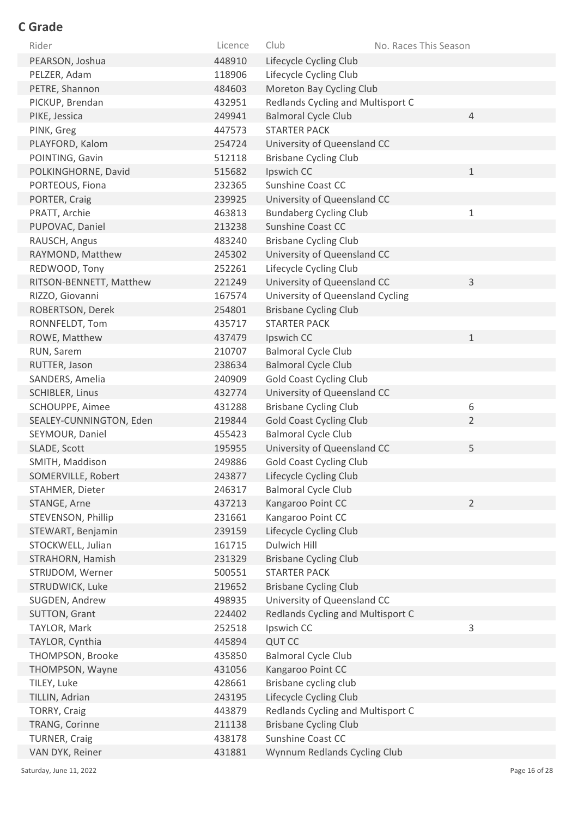| Rider                   | Licence | Club                              | No. Races This Season |
|-------------------------|---------|-----------------------------------|-----------------------|
| PEARSON, Joshua         | 448910  | Lifecycle Cycling Club            |                       |
| PELZER, Adam            | 118906  | Lifecycle Cycling Club            |                       |
| PETRE, Shannon          | 484603  | Moreton Bay Cycling Club          |                       |
| PICKUP, Brendan         | 432951  | Redlands Cycling and Multisport C |                       |
| PIKE, Jessica           | 249941  | <b>Balmoral Cycle Club</b>        | $\overline{4}$        |
| PINK, Greg              | 447573  | <b>STARTER PACK</b>               |                       |
| PLAYFORD, Kalom         | 254724  | University of Queensland CC       |                       |
| POINTING, Gavin         | 512118  | <b>Brisbane Cycling Club</b>      |                       |
| POLKINGHORNE, David     | 515682  | Ipswich CC                        | 1                     |
| PORTEOUS, Fiona         | 232365  | Sunshine Coast CC                 |                       |
| PORTER, Craig           | 239925  | University of Queensland CC       |                       |
| PRATT, Archie           | 463813  | <b>Bundaberg Cycling Club</b>     | $\mathbf{1}$          |
| PUPOVAC, Daniel         | 213238  | <b>Sunshine Coast CC</b>          |                       |
| RAUSCH, Angus           | 483240  | <b>Brisbane Cycling Club</b>      |                       |
| RAYMOND, Matthew        | 245302  | University of Queensland CC       |                       |
| REDWOOD, Tony           | 252261  | Lifecycle Cycling Club            |                       |
| RITSON-BENNETT, Matthew | 221249  | University of Queensland CC       | 3                     |
| RIZZO, Giovanni         | 167574  | University of Queensland Cycling  |                       |
| ROBERTSON, Derek        | 254801  | <b>Brisbane Cycling Club</b>      |                       |
| RONNFELDT, Tom          | 435717  | <b>STARTER PACK</b>               |                       |
| ROWE, Matthew           | 437479  | Ipswich CC                        | $\mathbf 1$           |
| RUN, Sarem              | 210707  | <b>Balmoral Cycle Club</b>        |                       |
| RUTTER, Jason           | 238634  | <b>Balmoral Cycle Club</b>        |                       |
| SANDERS, Amelia         | 240909  | <b>Gold Coast Cycling Club</b>    |                       |
| <b>SCHIBLER, Linus</b>  | 432774  | University of Queensland CC       |                       |
| SCHOUPPE, Aimee         | 431288  | <b>Brisbane Cycling Club</b>      | 6                     |
| SEALEY-CUNNINGTON, Eden | 219844  | <b>Gold Coast Cycling Club</b>    | $\overline{2}$        |
| SEYMOUR, Daniel         | 455423  | <b>Balmoral Cycle Club</b>        |                       |
| SLADE, Scott            | 195955  | University of Queensland CC       | 5                     |
| SMITH, Maddison         | 249886  | <b>Gold Coast Cycling Club</b>    |                       |
| SOMERVILLE, Robert      | 243877  | Lifecycle Cycling Club            |                       |
| STAHMER, Dieter         | 246317  | <b>Balmoral Cycle Club</b>        |                       |
| STANGE, Arne            | 437213  | Kangaroo Point CC                 | $\overline{2}$        |
| STEVENSON, Phillip      | 231661  | Kangaroo Point CC                 |                       |
| STEWART, Benjamin       | 239159  | Lifecycle Cycling Club            |                       |
| STOCKWELL, Julian       | 161715  | Dulwich Hill                      |                       |
| STRAHORN, Hamish        | 231329  | <b>Brisbane Cycling Club</b>      |                       |
| STRIJDOM, Werner        | 500551  | <b>STARTER PACK</b>               |                       |
| STRUDWICK, Luke         | 219652  | <b>Brisbane Cycling Club</b>      |                       |
| SUGDEN, Andrew          | 498935  | University of Queensland CC       |                       |
| SUTTON, Grant           | 224402  | Redlands Cycling and Multisport C |                       |
| TAYLOR, Mark            | 252518  | Ipswich CC                        | 3                     |
| TAYLOR, Cynthia         | 445894  | <b>QUT CC</b>                     |                       |
| THOMPSON, Brooke        | 435850  | <b>Balmoral Cycle Club</b>        |                       |
| THOMPSON, Wayne         | 431056  | Kangaroo Point CC                 |                       |
| TILEY, Luke             | 428661  | Brisbane cycling club             |                       |
| TILLIN, Adrian          | 243195  | Lifecycle Cycling Club            |                       |
| <b>TORRY, Craig</b>     | 443879  | Redlands Cycling and Multisport C |                       |
| TRANG, Corinne          | 211138  | <b>Brisbane Cycling Club</b>      |                       |
| <b>TURNER, Craig</b>    | 438178  | Sunshine Coast CC                 |                       |
| VAN DYK, Reiner         | 431881  | Wynnum Redlands Cycling Club      |                       |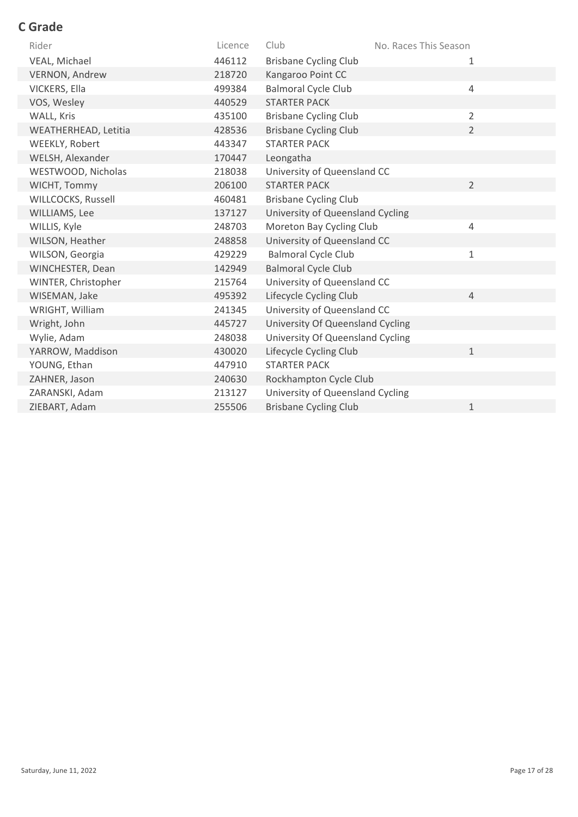| Rider                | Licence | Club                             | No. Races This Season |                |
|----------------------|---------|----------------------------------|-----------------------|----------------|
| VEAL, Michael        | 446112  | <b>Brisbane Cycling Club</b>     |                       | 1              |
| VERNON, Andrew       | 218720  | Kangaroo Point CC                |                       |                |
| VICKERS, Ella        | 499384  | <b>Balmoral Cycle Club</b>       |                       | $\overline{4}$ |
| VOS, Wesley          | 440529  | <b>STARTER PACK</b>              |                       |                |
| WALL, Kris           | 435100  | <b>Brisbane Cycling Club</b>     |                       | 2              |
| WEATHERHEAD, Letitia | 428536  | <b>Brisbane Cycling Club</b>     |                       | $\overline{2}$ |
| WEEKLY, Robert       | 443347  | <b>STARTER PACK</b>              |                       |                |
| WELSH, Alexander     | 170447  | Leongatha                        |                       |                |
| WESTWOOD, Nicholas   | 218038  | University of Queensland CC      |                       |                |
| WICHT, Tommy         | 206100  | <b>STARTER PACK</b>              |                       | $\overline{2}$ |
| WILLCOCKS, Russell   | 460481  | <b>Brisbane Cycling Club</b>     |                       |                |
| WILLIAMS, Lee        | 137127  | University of Queensland Cycling |                       |                |
| WILLIS, Kyle         | 248703  | Moreton Bay Cycling Club         |                       | $\overline{4}$ |
| WILSON, Heather      | 248858  | University of Queensland CC      |                       |                |
| WILSON, Georgia      | 429229  | <b>Balmoral Cycle Club</b>       |                       | 1              |
| WINCHESTER, Dean     | 142949  | <b>Balmoral Cycle Club</b>       |                       |                |
| WINTER, Christopher  | 215764  | University of Queensland CC      |                       |                |
| WISEMAN, Jake        | 495392  | Lifecycle Cycling Club           |                       | $\overline{4}$ |
| WRIGHT, William      | 241345  | University of Queensland CC      |                       |                |
| Wright, John         | 445727  | University Of Queensland Cycling |                       |                |
| Wylie, Adam          | 248038  | University Of Queensland Cycling |                       |                |
| YARROW, Maddison     | 430020  | Lifecycle Cycling Club           |                       | $\mathbf{1}$   |
| YOUNG, Ethan         | 447910  | <b>STARTER PACK</b>              |                       |                |
| ZAHNER, Jason        | 240630  | Rockhampton Cycle Club           |                       |                |
| ZARANSKI, Adam       | 213127  | University of Queensland Cycling |                       |                |
| ZIEBART, Adam        | 255506  | <b>Brisbane Cycling Club</b>     |                       | 1              |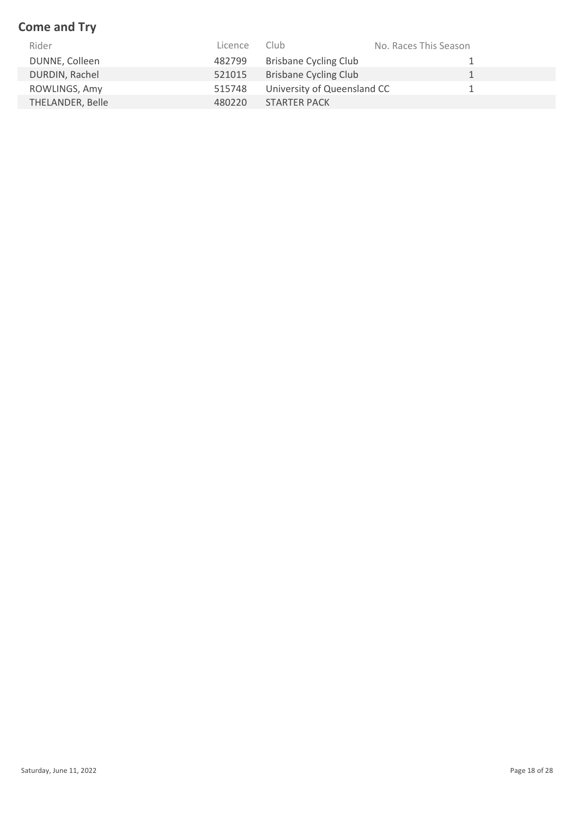## **Come and Try**

| Rider            | Licence | Club                         | No. Races This Season |
|------------------|---------|------------------------------|-----------------------|
| DUNNE, Colleen   | 482799  | <b>Brisbane Cycling Club</b> |                       |
| DURDIN, Rachel   | 521015  | <b>Brisbane Cycling Club</b> |                       |
| ROWLINGS, Amy    | 515748  | University of Queensland CC  |                       |
| THELANDER, Belle | 480220  | <b>STARTER PACK</b>          |                       |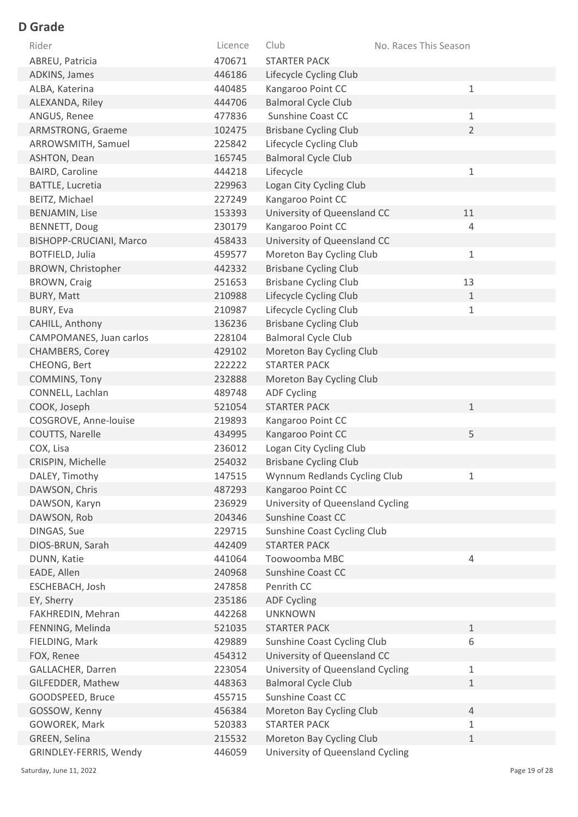| Rider                   | Licence | Club                             | No. Races This Season |
|-------------------------|---------|----------------------------------|-----------------------|
| ABREU, Patricia         | 470671  | <b>STARTER PACK</b>              |                       |
| ADKINS, James           | 446186  | Lifecycle Cycling Club           |                       |
| ALBA, Katerina          | 440485  | Kangaroo Point CC                | $1\,$                 |
| ALEXANDA, Riley         | 444706  | <b>Balmoral Cycle Club</b>       |                       |
| ANGUS, Renee            | 477836  | Sunshine Coast CC                | 1                     |
| ARMSTRONG, Graeme       | 102475  | <b>Brisbane Cycling Club</b>     | $\overline{2}$        |
| ARROWSMITH, Samuel      | 225842  | Lifecycle Cycling Club           |                       |
| ASHTON, Dean            | 165745  | <b>Balmoral Cycle Club</b>       |                       |
| <b>BAIRD, Caroline</b>  | 444218  | Lifecycle                        | 1                     |
| BATTLE, Lucretia        | 229963  | Logan City Cycling Club          |                       |
| BEITZ, Michael          | 227249  | Kangaroo Point CC                |                       |
| <b>BENJAMIN, Lise</b>   | 153393  | University of Queensland CC      | 11                    |
| <b>BENNETT, Doug</b>    | 230179  | Kangaroo Point CC                | 4                     |
| BISHOPP-CRUCIANI, Marco | 458433  | University of Queensland CC      |                       |
| BOTFIELD, Julia         | 459577  | Moreton Bay Cycling Club         | $1\,$                 |
| BROWN, Christopher      | 442332  | <b>Brisbane Cycling Club</b>     |                       |
| BROWN, Craig            | 251653  | <b>Brisbane Cycling Club</b>     | 13                    |
| <b>BURY, Matt</b>       | 210988  | Lifecycle Cycling Club           | $\mathbf 1$           |
| BURY, Eva               | 210987  | Lifecycle Cycling Club           | $\mathbf 1$           |
| CAHILL, Anthony         | 136236  | <b>Brisbane Cycling Club</b>     |                       |
| CAMPOMANES, Juan carlos | 228104  | <b>Balmoral Cycle Club</b>       |                       |
| CHAMBERS, Corey         | 429102  | Moreton Bay Cycling Club         |                       |
| CHEONG, Bert            | 222222  | <b>STARTER PACK</b>              |                       |
| COMMINS, Tony           | 232888  | Moreton Bay Cycling Club         |                       |
| CONNELL, Lachlan        | 489748  | <b>ADF Cycling</b>               |                       |
| COOK, Joseph            | 521054  | <b>STARTER PACK</b>              | $\mathbf 1$           |
| COSGROVE, Anne-louise   | 219893  | Kangaroo Point CC                |                       |
| COUTTS, Narelle         | 434995  | Kangaroo Point CC                | 5                     |
| COX, Lisa               | 236012  | Logan City Cycling Club          |                       |
| CRISPIN, Michelle       | 254032  | <b>Brisbane Cycling Club</b>     |                       |
| DALEY, Timothy          | 147515  | Wynnum Redlands Cycling Club     |                       |
| DAWSON, Chris           | 487293  | Kangaroo Point CC                |                       |
| DAWSON, Karyn           | 236929  | University of Queensland Cycling |                       |
| DAWSON, Rob             | 204346  | Sunshine Coast CC                |                       |
| DINGAS, Sue             | 229715  | Sunshine Coast Cycling Club      |                       |
| DIOS-BRUN, Sarah        | 442409  | <b>STARTER PACK</b>              |                       |
| DUNN, Katie             | 441064  | Toowoomba MBC                    | 4                     |
| EADE, Allen             | 240968  | Sunshine Coast CC                |                       |
| ESCHEBACH, Josh         | 247858  | Penrith CC                       |                       |
| EY, Sherry              | 235186  | <b>ADF Cycling</b>               |                       |
| FAKHREDIN, Mehran       | 442268  | <b>UNKNOWN</b>                   |                       |
| FENNING, Melinda        | 521035  | <b>STARTER PACK</b>              | $\mathbf{1}$          |
| FIELDING, Mark          | 429889  | Sunshine Coast Cycling Club      | 6                     |
| FOX, Renee              | 454312  | University of Queensland CC      |                       |
| GALLACHER, Darren       | 223054  | University of Queensland Cycling | $\mathbf{1}$          |
| GILFEDDER, Mathew       | 448363  | <b>Balmoral Cycle Club</b>       | $\mathbf 1$           |
| GOODSPEED, Bruce        | 455715  | Sunshine Coast CC                |                       |
| GOSSOW, Kenny           | 456384  | Moreton Bay Cycling Club         | $\overline{4}$        |
| GOWOREK, Mark           | 520383  | <b>STARTER PACK</b>              | 1                     |
| GREEN, Selina           | 215532  | Moreton Bay Cycling Club         | $\mathbf 1$           |
| GRINDLEY-FERRIS, Wendy  | 446059  | University of Queensland Cycling |                       |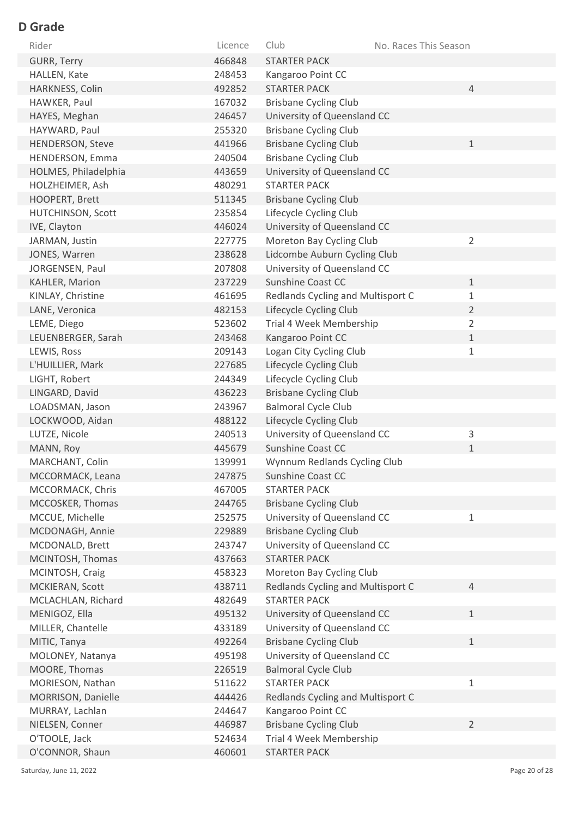| Rider                            | Licence          | Club                                              | No. Races This Season |                |
|----------------------------------|------------------|---------------------------------------------------|-----------------------|----------------|
| <b>GURR, Terry</b>               | 466848           | <b>STARTER PACK</b>                               |                       |                |
| HALLEN, Kate                     | 248453           | Kangaroo Point CC                                 |                       |                |
| HARKNESS, Colin                  | 492852           | <b>STARTER PACK</b>                               |                       | $\overline{4}$ |
| HAWKER, Paul                     | 167032           | <b>Brisbane Cycling Club</b>                      |                       |                |
| HAYES, Meghan                    | 246457           | University of Queensland CC                       |                       |                |
| HAYWARD, Paul                    | 255320           | <b>Brisbane Cycling Club</b>                      |                       |                |
| <b>HENDERSON, Steve</b>          | 441966           | <b>Brisbane Cycling Club</b>                      |                       | $\mathbf 1$    |
| HENDERSON, Emma                  | 240504           | <b>Brisbane Cycling Club</b>                      |                       |                |
| HOLMES, Philadelphia             | 443659           | University of Queensland CC                       |                       |                |
| HOLZHEIMER, Ash                  | 480291           | <b>STARTER PACK</b>                               |                       |                |
| HOOPERT, Brett                   | 511345           | <b>Brisbane Cycling Club</b>                      |                       |                |
| HUTCHINSON, Scott                | 235854           | Lifecycle Cycling Club                            |                       |                |
| IVE, Clayton                     | 446024           | University of Queensland CC                       |                       |                |
| JARMAN, Justin                   | 227775           | Moreton Bay Cycling Club                          |                       | $\overline{2}$ |
| JONES, Warren                    | 238628           | Lidcombe Auburn Cycling Club                      |                       |                |
| JORGENSEN, Paul                  | 207808           | University of Queensland CC                       |                       |                |
| KAHLER, Marion                   | 237229           | Sunshine Coast CC                                 |                       | $\mathbf{1}$   |
| KINLAY, Christine                | 461695           | Redlands Cycling and Multisport C                 |                       | $\mathbf{1}$   |
| LANE, Veronica                   | 482153           | Lifecycle Cycling Club                            |                       | $\overline{2}$ |
| LEME, Diego                      | 523602           | Trial 4 Week Membership                           |                       | $\overline{2}$ |
| LEUENBERGER, Sarah               | 243468           | Kangaroo Point CC                                 |                       | $1\,$          |
| LEWIS, Ross                      | 209143           | Logan City Cycling Club                           |                       | $\mathbf{1}$   |
| L'HUILLIER, Mark                 | 227685           | Lifecycle Cycling Club                            |                       |                |
| LIGHT, Robert                    | 244349           | Lifecycle Cycling Club                            |                       |                |
| LINGARD, David                   | 436223           | <b>Brisbane Cycling Club</b>                      |                       |                |
| LOADSMAN, Jason                  | 243967           | <b>Balmoral Cycle Club</b>                        |                       |                |
| LOCKWOOD, Aidan                  | 488122           | Lifecycle Cycling Club                            |                       |                |
| LUTZE, Nicole                    | 240513           | University of Queensland CC                       |                       | 3              |
| MANN, Roy                        | 445679           | <b>Sunshine Coast CC</b>                          |                       | $\mathbf{1}$   |
| MARCHANT, Colin                  | 139991           | Wynnum Redlands Cycling Club                      |                       |                |
| MCCORMACK, Leana                 | 247875           | Sunshine Coast CC                                 |                       |                |
| MCCORMACK, Chris                 | 467005           | <b>STARTER PACK</b>                               |                       |                |
| MCCOSKER, Thomas                 | 244765           | <b>Brisbane Cycling Club</b>                      |                       |                |
| MCCUE, Michelle                  | 252575           | University of Queensland CC                       |                       | $\mathbf{1}$   |
| MCDONAGH, Annie                  | 229889           | <b>Brisbane Cycling Club</b>                      |                       |                |
| MCDONALD, Brett                  | 243747           | University of Queensland CC                       |                       |                |
| MCINTOSH, Thomas                 | 437663           | <b>STARTER PACK</b>                               |                       |                |
| MCINTOSH, Craig                  | 458323           | Moreton Bay Cycling Club                          |                       |                |
| MCKIERAN, Scott                  | 438711           | Redlands Cycling and Multisport C                 |                       | $\overline{4}$ |
| MCLACHLAN, Richard               | 482649           | <b>STARTER PACK</b>                               |                       |                |
| MENIGOZ, Ella                    | 495132           | University of Queensland CC                       |                       | $\mathbf{1}$   |
| MILLER, Chantelle                | 433189           | University of Queensland CC                       |                       |                |
| MITIC, Tanya                     | 492264           | <b>Brisbane Cycling Club</b>                      |                       | $\mathbf{1}$   |
| MOLONEY, Natanya                 | 495198           | University of Queensland CC                       |                       |                |
| MOORE, Thomas                    | 226519           | <b>Balmoral Cycle Club</b><br><b>STARTER PACK</b> |                       |                |
| MORIESON, Nathan                 | 511622           |                                                   |                       | 1              |
| MORRISON, Danielle               | 444426           | Redlands Cycling and Multisport C                 |                       |                |
| MURRAY, Lachlan                  | 244647<br>446987 | Kangaroo Point CC<br><b>Brisbane Cycling Club</b> |                       | $\overline{2}$ |
| NIELSEN, Conner<br>O'TOOLE, Jack | 524634           | Trial 4 Week Membership                           |                       |                |
| O'CONNOR, Shaun                  | 460601           | <b>STARTER PACK</b>                               |                       |                |
|                                  |                  |                                                   |                       |                |

Saturday, June 11, 2022 20 of 28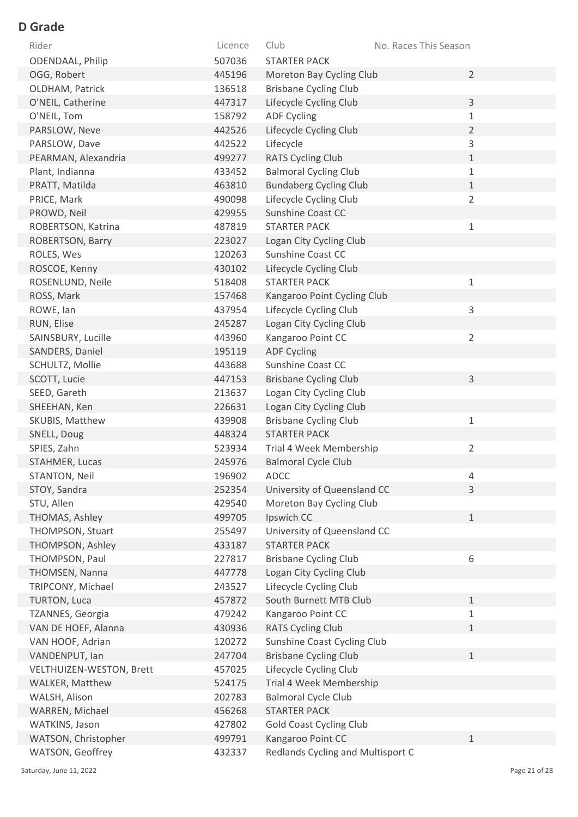| Rider                    | Licence | Club                              | No. Races This Season |
|--------------------------|---------|-----------------------------------|-----------------------|
| ODENDAAL, Philip         | 507036  | <b>STARTER PACK</b>               |                       |
| OGG, Robert              | 445196  | Moreton Bay Cycling Club          | $\overline{2}$        |
| OLDHAM, Patrick          | 136518  | <b>Brisbane Cycling Club</b>      |                       |
| O'NEIL, Catherine        | 447317  | Lifecycle Cycling Club            | 3                     |
| O'NEIL, Tom              | 158792  | <b>ADF Cycling</b>                | $\mathbf 1$           |
| PARSLOW, Neve            | 442526  | Lifecycle Cycling Club            | $\overline{2}$        |
| PARSLOW, Dave            | 442522  | Lifecycle                         | 3                     |
| PEARMAN, Alexandria      | 499277  | <b>RATS Cycling Club</b>          | $\mathbf 1$           |
| Plant, Indianna          | 433452  | <b>Balmoral Cycling Club</b>      | $\mathbf 1$           |
| PRATT, Matilda           | 463810  | <b>Bundaberg Cycling Club</b>     | $\mathbf{1}$          |
| PRICE, Mark              | 490098  | Lifecycle Cycling Club            | $\overline{2}$        |
| PROWD, Neil              | 429955  | Sunshine Coast CC                 |                       |
| ROBERTSON, Katrina       | 487819  | <b>STARTER PACK</b>               | $\mathbf 1$           |
| ROBERTSON, Barry         | 223027  | Logan City Cycling Club           |                       |
| ROLES, Wes               | 120263  | Sunshine Coast CC                 |                       |
| ROSCOE, Kenny            | 430102  | Lifecycle Cycling Club            |                       |
| ROSENLUND, Neile         | 518408  | <b>STARTER PACK</b>               | $\mathbf{1}$          |
| ROSS, Mark               | 157468  | Kangaroo Point Cycling Club       |                       |
| ROWE, Ian                | 437954  | Lifecycle Cycling Club            | 3                     |
| RUN, Elise               | 245287  | Logan City Cycling Club           |                       |
| SAINSBURY, Lucille       | 443960  | Kangaroo Point CC                 | $\overline{2}$        |
| SANDERS, Daniel          | 195119  | <b>ADF Cycling</b>                |                       |
| SCHULTZ, Mollie          | 443688  | Sunshine Coast CC                 |                       |
| SCOTT, Lucie             | 447153  | <b>Brisbane Cycling Club</b>      | 3                     |
| SEED, Gareth             | 213637  | Logan City Cycling Club           |                       |
| SHEEHAN, Ken             | 226631  | Logan City Cycling Club           |                       |
| SKUBIS, Matthew          | 439908  | <b>Brisbane Cycling Club</b>      | $\mathbf{1}$          |
| SNELL, Doug              | 448324  | <b>STARTER PACK</b>               |                       |
| SPIES, Zahn              | 523934  | Trial 4 Week Membership           | $\overline{2}$        |
| STAHMER, Lucas           | 245976  | <b>Balmoral Cycle Club</b>        |                       |
| STANTON, Neil            | 196902  | <b>ADCC</b>                       | 4                     |
| STOY, Sandra             | 252354  | University of Queensland CC       | 3                     |
| STU, Allen               | 429540  | Moreton Bay Cycling Club          |                       |
| THOMAS, Ashley           | 499705  | Ipswich CC                        | $\mathbf{1}$          |
| THOMPSON, Stuart         | 255497  | University of Queensland CC       |                       |
| THOMPSON, Ashley         | 433187  | <b>STARTER PACK</b>               |                       |
| THOMPSON, Paul           | 227817  | <b>Brisbane Cycling Club</b>      | 6                     |
| THOMSEN, Nanna           | 447778  | Logan City Cycling Club           |                       |
| TRIPCONY, Michael        | 243527  | Lifecycle Cycling Club            |                       |
| TURTON, Luca             | 457872  | South Burnett MTB Club            | $\mathbf 1$           |
| TZANNES, Georgia         | 479242  | Kangaroo Point CC                 | 1                     |
| VAN DE HOEF, Alanna      | 430936  | <b>RATS Cycling Club</b>          | $\mathbf{1}$          |
| VAN HOOF, Adrian         | 120272  | Sunshine Coast Cycling Club       |                       |
| VANDENPUT, Ian           | 247704  | <b>Brisbane Cycling Club</b>      | $\mathbf{1}$          |
| VELTHUIZEN-WESTON, Brett | 457025  | Lifecycle Cycling Club            |                       |
| WALKER, Matthew          | 524175  | Trial 4 Week Membership           |                       |
| WALSH, Alison            | 202783  | <b>Balmoral Cycle Club</b>        |                       |
| WARREN, Michael          | 456268  | <b>STARTER PACK</b>               |                       |
| WATKINS, Jason           | 427802  | <b>Gold Coast Cycling Club</b>    |                       |
| WATSON, Christopher      | 499791  | Kangaroo Point CC                 | $\mathbf{1}$          |
| WATSON, Geoffrey         | 432337  | Redlands Cycling and Multisport C |                       |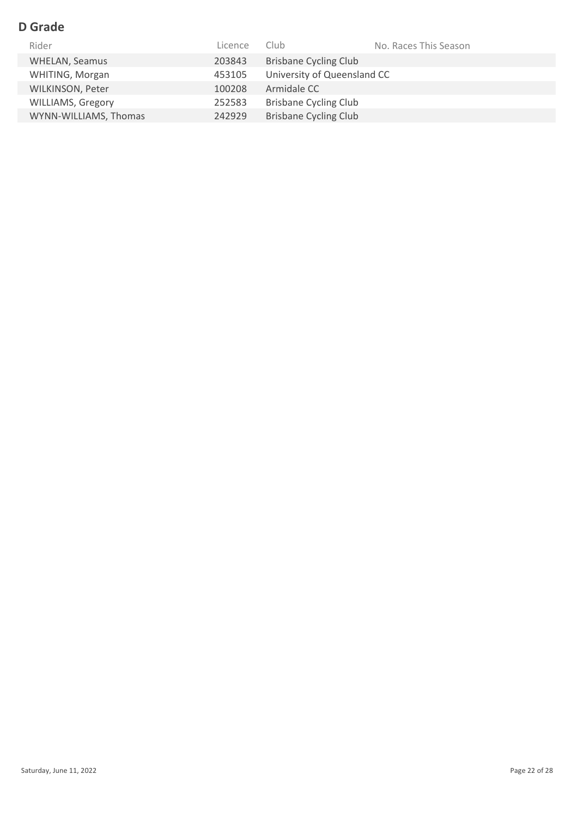| Rider                    | Licence | Club.                        | No. Races This Season |
|--------------------------|---------|------------------------------|-----------------------|
| <b>WHELAN, Seamus</b>    | 203843  | <b>Brisbane Cycling Club</b> |                       |
| WHITING, Morgan          | 453105  | University of Queensland CC  |                       |
| <b>WILKINSON, Peter</b>  | 100208  | Armidale CC                  |                       |
| <b>WILLIAMS, Gregory</b> | 252583  | <b>Brisbane Cycling Club</b> |                       |
| WYNN-WILLIAMS, Thomas    | 242929  | <b>Brisbane Cycling Club</b> |                       |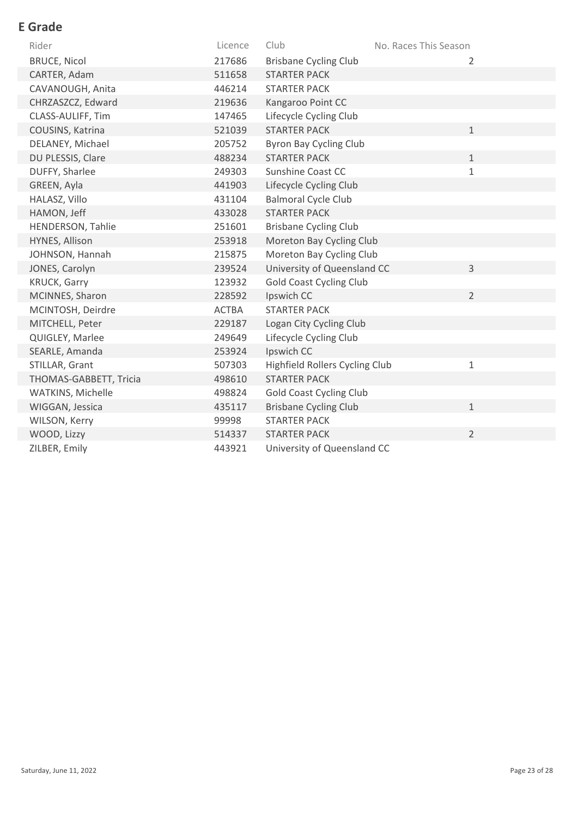## **E Grade**

| Rider                  | Licence      | Club                           | No. Races This Season |
|------------------------|--------------|--------------------------------|-----------------------|
| <b>BRUCE, Nicol</b>    | 217686       | <b>Brisbane Cycling Club</b>   | 2                     |
| CARTER, Adam           | 511658       | <b>STARTER PACK</b>            |                       |
| CAVANOUGH, Anita       | 446214       | <b>STARTER PACK</b>            |                       |
| CHRZASZCZ, Edward      | 219636       | Kangaroo Point CC              |                       |
| CLASS-AULIFF, Tim      | 147465       | Lifecycle Cycling Club         |                       |
| COUSINS, Katrina       | 521039       | <b>STARTER PACK</b>            | $\mathbf{1}$          |
| DELANEY, Michael       | 205752       | Byron Bay Cycling Club         |                       |
| DU PLESSIS, Clare      | 488234       | <b>STARTER PACK</b>            | $\mathbf{1}$          |
| DUFFY, Sharlee         | 249303       | Sunshine Coast CC              | $\mathbf{1}$          |
| GREEN, Ayla            | 441903       | Lifecycle Cycling Club         |                       |
| HALASZ, Villo          | 431104       | <b>Balmoral Cycle Club</b>     |                       |
| HAMON, Jeff            | 433028       | <b>STARTER PACK</b>            |                       |
| HENDERSON, Tahlie      | 251601       | <b>Brisbane Cycling Club</b>   |                       |
| HYNES, Allison         | 253918       | Moreton Bay Cycling Club       |                       |
| JOHNSON, Hannah        | 215875       | Moreton Bay Cycling Club       |                       |
| JONES, Carolyn         | 239524       | University of Queensland CC    | 3                     |
| <b>KRUCK, Garry</b>    | 123932       | <b>Gold Coast Cycling Club</b> |                       |
| MCINNES, Sharon        | 228592       | Ipswich CC                     | $\overline{2}$        |
| MCINTOSH, Deirdre      | <b>ACTBA</b> | <b>STARTER PACK</b>            |                       |
| MITCHELL, Peter        | 229187       | Logan City Cycling Club        |                       |
| QUIGLEY, Marlee        | 249649       | Lifecycle Cycling Club         |                       |
| SEARLE, Amanda         | 253924       | Ipswich CC                     |                       |
| STILLAR, Grant         | 507303       | Highfield Rollers Cycling Club | $\mathbf{1}$          |
| THOMAS-GABBETT, Tricia | 498610       | <b>STARTER PACK</b>            |                       |
| WATKINS, Michelle      | 498824       | <b>Gold Coast Cycling Club</b> |                       |
| WIGGAN, Jessica        | 435117       | <b>Brisbane Cycling Club</b>   | $\mathbf{1}$          |
| WILSON, Kerry          | 99998        | <b>STARTER PACK</b>            |                       |
| WOOD, Lizzy            | 514337       | <b>STARTER PACK</b>            | $\overline{2}$        |
| ZILBER, Emily          | 443921       | University of Queensland CC    |                       |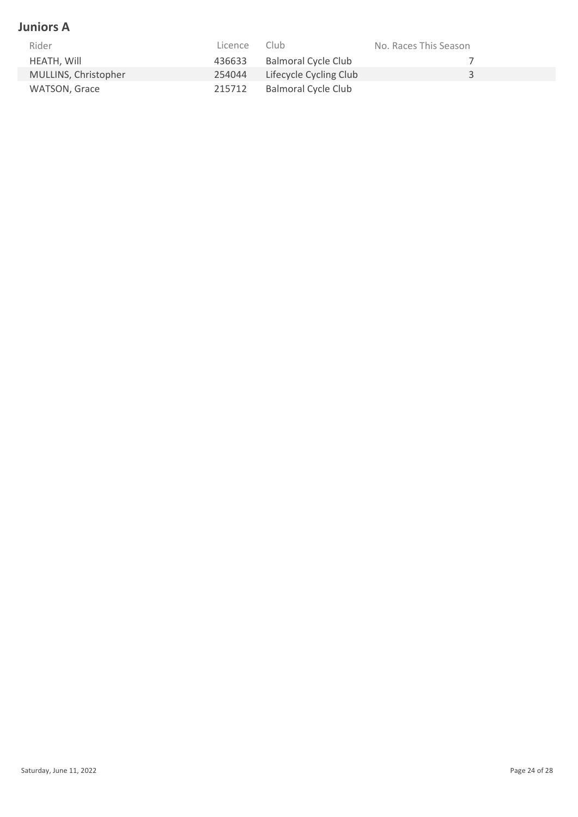#### **Juniors A**

| Rider                | Licence | Club                       | No. Races This Season |
|----------------------|---------|----------------------------|-----------------------|
| HEATH, Will          | 436633  | <b>Balmoral Cycle Club</b> |                       |
| MULLINS, Christopher | 254044  | Lifecycle Cycling Club     |                       |
| WATSON, Grace        | 215712  | <b>Balmoral Cycle Club</b> |                       |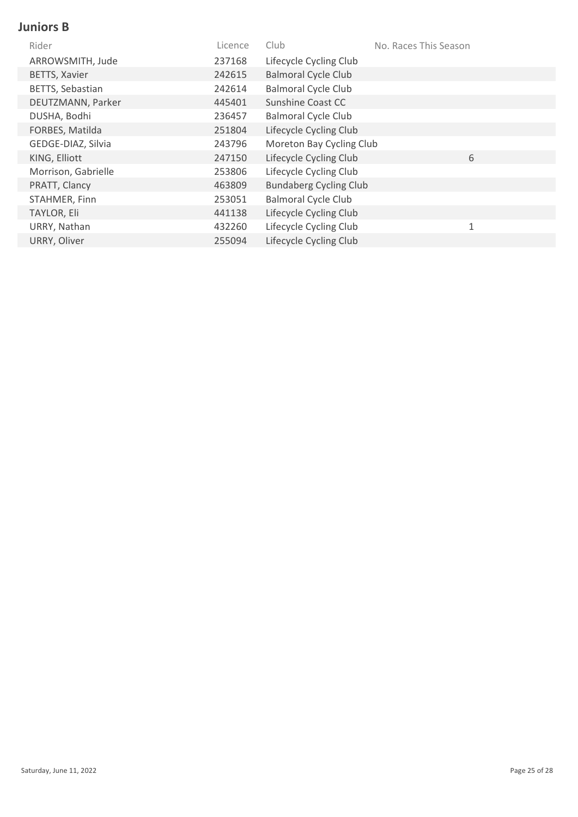#### **Juniors B**

| Rider                | Licence | Club                          | No. Races This Season |
|----------------------|---------|-------------------------------|-----------------------|
| ARROWSMITH, Jude     | 237168  | Lifecycle Cycling Club        |                       |
| <b>BETTS, Xavier</b> | 242615  | <b>Balmoral Cycle Club</b>    |                       |
| BETTS, Sebastian     | 242614  | <b>Balmoral Cycle Club</b>    |                       |
| DEUTZMANN, Parker    | 445401  | Sunshine Coast CC             |                       |
| DUSHA, Bodhi         | 236457  | <b>Balmoral Cycle Club</b>    |                       |
| FORBES, Matilda      | 251804  | Lifecycle Cycling Club        |                       |
| GEDGE-DIAZ, Silvia   | 243796  | Moreton Bay Cycling Club      |                       |
| KING, Elliott        | 247150  | Lifecycle Cycling Club        | 6                     |
| Morrison, Gabrielle  | 253806  | Lifecycle Cycling Club        |                       |
| PRATT, Clancy        | 463809  | <b>Bundaberg Cycling Club</b> |                       |
| STAHMER, Finn        | 253051  | <b>Balmoral Cycle Club</b>    |                       |
| TAYLOR, Eli          | 441138  | Lifecycle Cycling Club        |                       |
| URRY, Nathan         | 432260  | Lifecycle Cycling Club        | $\mathbf{1}$          |
| URRY, Oliver         | 255094  | Lifecycle Cycling Club        |                       |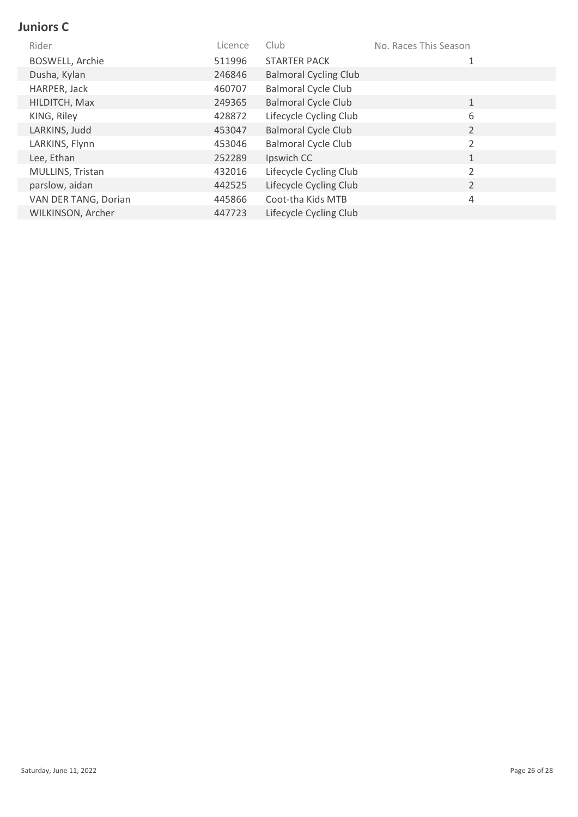## **Juniors C**

| Rider                  | Licence | Club.                        | No. Races This Season |
|------------------------|---------|------------------------------|-----------------------|
| <b>BOSWELL, Archie</b> | 511996  | <b>STARTER PACK</b>          |                       |
| Dusha, Kylan           | 246846  | <b>Balmoral Cycling Club</b> |                       |
| HARPER, Jack           | 460707  | <b>Balmoral Cycle Club</b>   |                       |
| HILDITCH, Max          | 249365  | <b>Balmoral Cycle Club</b>   | $\mathbf{1}$          |
| KING, Riley            | 428872  | Lifecycle Cycling Club       | 6                     |
| LARKINS, Judd          | 453047  | <b>Balmoral Cycle Club</b>   | $\overline{2}$        |
| LARKINS, Flynn         | 453046  | <b>Balmoral Cycle Club</b>   | 2                     |
| Lee, Ethan             | 252289  | Ipswich CC                   | $\mathbf{1}$          |
| MULLINS, Tristan       | 432016  | Lifecycle Cycling Club       | 2                     |
| parslow, aidan         | 442525  | Lifecycle Cycling Club       | $\overline{2}$        |
| VAN DER TANG, Dorian   | 445866  | Coot-tha Kids MTB            | 4                     |
| WILKINSON, Archer      | 447723  | Lifecycle Cycling Club       |                       |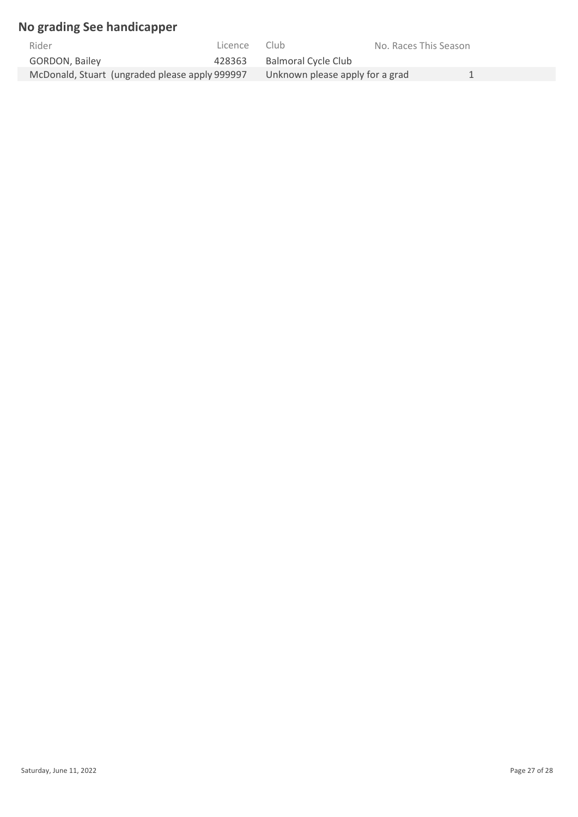## **No grading See handicapper**

| Rider                                          | Licence | Club                            | No. Races This Season |  |
|------------------------------------------------|---------|---------------------------------|-----------------------|--|
| <b>GORDON, Bailey</b>                          | 428363  | Balmoral Cycle Club             |                       |  |
| McDonald, Stuart (ungraded please apply 999997 |         | Unknown please apply for a grad |                       |  |